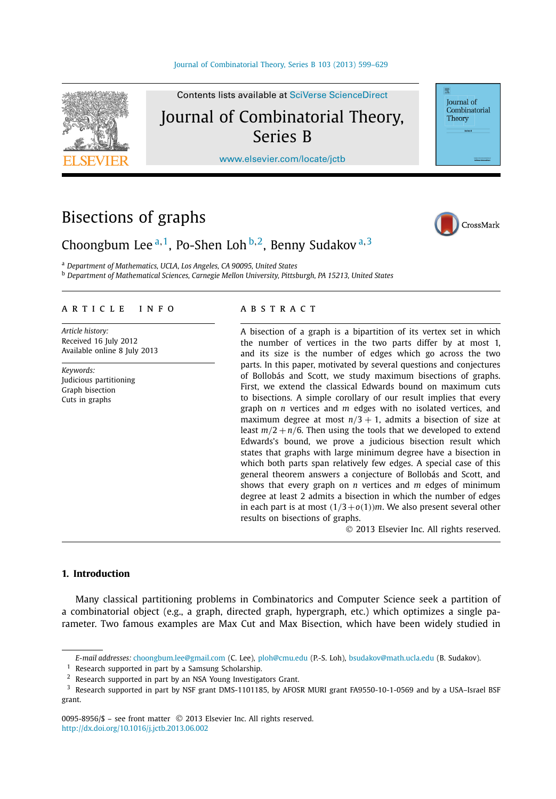

Contents lists available at [SciVerse ScienceDirect](http://www.ScienceDirect.com/) Journal of Combinatorial Theory, Series B

[www.elsevier.com/locate/jctb](http://www.elsevier.com/locate/jctb)

# Bisections of graphs



**Iournal** of Combinatorial Theory

# Choongbum Lee <sup>a</sup>*,*1, Po-Shen Loh <sup>b</sup>*,*2, Benny Sudakov <sup>a</sup>*,*<sup>3</sup>

<sup>a</sup> *Department of Mathematics, UCLA, Los Angeles, CA 90095, United States*

<sup>b</sup> *Department of Mathematical Sciences, Carnegie Mellon University, Pittsburgh, PA 15213, United States*

# article info abstract

*Article history:* Received 16 July 2012 Available online 8 July 2013

*Keywords:* Judicious partitioning Graph bisection Cuts in graphs

A bisection of a graph is a bipartition of its vertex set in which the number of vertices in the two parts differ by at most 1, and its size is the number of edges which go across the two parts. In this paper, motivated by several questions and conjectures of Bollobás and Scott, we study maximum bisections of graphs. First, we extend the classical Edwards bound on maximum cuts to bisections. A simple corollary of our result implies that every graph on *n* vertices and *m* edges with no isolated vertices, and maximum degree at most  $n/3 + 1$ , admits a bisection of size at least  $m/2 + n/6$ . Then using the tools that we developed to extend Edwards's bound, we prove a judicious bisection result which states that graphs with large minimum degree have a bisection in which both parts span relatively few edges. A special case of this general theorem answers a conjecture of Bollobás and Scott, and shows that every graph on *n* vertices and *m* edges of minimum degree at least 2 admits a bisection in which the number of edges in each part is at most  $(1/3+o(1))$ *m*. We also present several other results on bisections of graphs.

© 2013 Elsevier Inc. All rights reserved.

# **1. Introduction**

Many classical partitioning problems in Combinatorics and Computer Science seek a partition of a combinatorial object (e.g., a graph, directed graph, hypergraph, etc.) which optimizes a single parameter. Two famous examples are Max Cut and Max Bisection, which have been widely studied in

*E-mail addresses:* [choongbum.lee@gmail.com](mailto:choongbum.lee@gmail.com) (C. Lee), [ploh@cmu.edu](mailto:ploh@cmu.edu) (P.-S. Loh), [bsudakov@math.ucla.edu](mailto:bsudakov@math.ucla.edu) (B. Sudakov).

 $1$  Research supported in part by a Samsung Scholarship.

<sup>&</sup>lt;sup>2</sup> Research supported in part by an NSA Young Investigators Grant.

 $3$  Research supported in part by NSF grant DMS-1101185, by AFOSR MURI grant FA9550-10-1-0569 and by a USA-Israel BSF grant.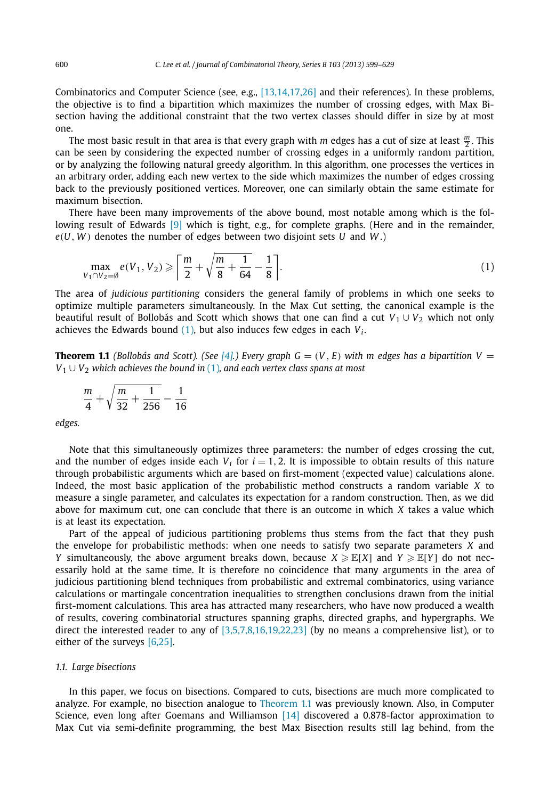<span id="page-1-0"></span>Combinatorics and Computer Science (see, e.g., [\[13,14,17,26\]](#page-30-0) and their references). In these problems, the objective is to find a bipartition which maximizes the number of crossing edges, with Max Bisection having the additional constraint that the two vertex classes should differ in size by at most one.

The most basic result in that area is that every graph with *m* edges has a cut of size at least *<sup>m</sup>* <sup>2</sup> . This can be seen by considering the expected number of crossing edges in a uniformly random partition, or by analyzing the following natural greedy algorithm. In this algorithm, one processes the vertices in an arbitrary order, adding each new vertex to the side which maximizes the number of edges crossing back to the previously positioned vertices. Moreover, one can similarly obtain the same estimate for maximum bisection.

There have been many improvements of the above bound, most notable among which is the fol-lowing result of Edwards [\[9\]](#page-30-0) which is tight, e.g., for complete graphs. (Here and in the remainder, *e(U, W )* denotes the number of edges between two disjoint sets *U* and *W* .)

$$
\max_{V_1 \cap V_2 = \emptyset} e(V_1, V_2) \geqslant \left\lceil \frac{m}{2} + \sqrt{\frac{m}{8} + \frac{1}{64}} - \frac{1}{8} \right\rceil. \tag{1}
$$

The area of *judicious partitioning* considers the general family of problems in which one seeks to optimize multiple parameters simultaneously. In the Max Cut setting, the canonical example is the beautiful result of Bollobás and Scott which shows that one can find a cut  $V_1 \cup V_2$  which not only achieves the Edwards bound  $(1)$ , but also induces few edges in each  $V_i$ .

**Theorem 1.1** *(Bollobás and Scott). (See [\[4\].](#page-30-0)) Every graph*  $G = (V, E)$  *with m edges has a bipartition*  $V =$ *V*<sup>1</sup> ∪ *V*<sup>2</sup> *which achieves the bound in* (1)*, and each vertex class spans at most*

$$
\frac{m}{4} + \sqrt{\frac{m}{32} + \frac{1}{256}} - \frac{1}{16}
$$

*edges.*

Note that this simultaneously optimizes three parameters: the number of edges crossing the cut, and the number of edges inside each  $V_i$  for  $i = 1, 2$ . It is impossible to obtain results of this nature through probabilistic arguments which are based on first-moment (expected value) calculations alone. Indeed, the most basic application of the probabilistic method constructs a random variable *X* to measure a single parameter, and calculates its expectation for a random construction. Then, as we did above for maximum cut, one can conclude that there is an outcome in which *X* takes a value which is at least its expectation.

Part of the appeal of judicious partitioning problems thus stems from the fact that they push the envelope for probabilistic methods: when one needs to satisfy two separate parameters *X* and *Y* simultaneously, the above argument breaks down, because  $X \geq \mathbb{E}[X]$  and  $Y \geq \mathbb{E}[Y]$  do not necessarily hold at the same time. It is therefore no coincidence that many arguments in the area of judicious partitioning blend techniques from probabilistic and extremal combinatorics, using variance calculations or martingale concentration inequalities to strengthen conclusions drawn from the initial first-moment calculations. This area has attracted many researchers, who have now produced a wealth of results, covering combinatorial structures spanning graphs, directed graphs, and hypergraphs. We direct the interested reader to any of [\[3,5,7,8,16,19,22,23\]](#page-30-0) (by no means a comprehensive list), or to either of the surveys [\[6,25\].](#page-30-0)

#### *1.1. Large bisections*

In this paper, we focus on bisections. Compared to cuts, bisections are much more complicated to analyze. For example, no bisection analogue to Theorem 1.1 was previously known. Also, in Computer Science, even long after Goemans and Williamson [\[14\]](#page-30-0) discovered a 0.878-factor approximation to Max Cut via semi-definite programming, the best Max Bisection results still lag behind, from the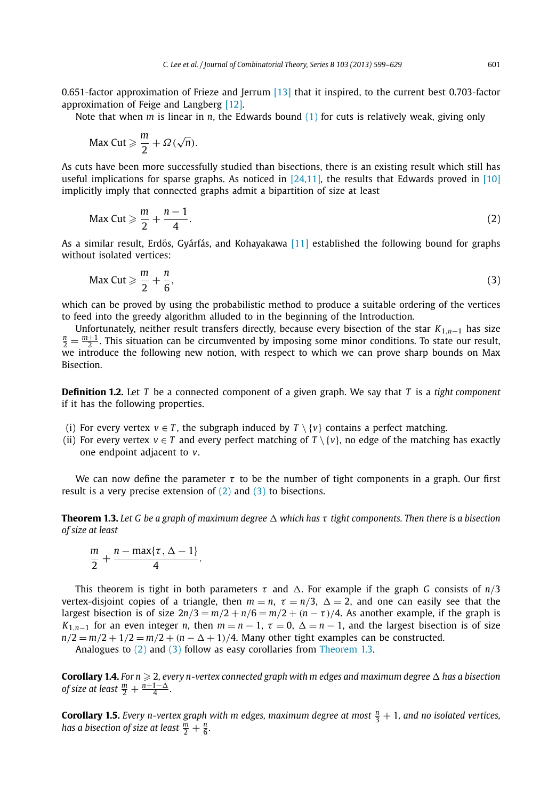<span id="page-2-0"></span>0.651-factor approximation of Frieze and Jerrum [\[13\]](#page-30-0) that it inspired, to the current best 0.703-factor approximation of Feige and Langberg [\[12\].](#page-30-0)

Note that when *m* is linear in *n*, the Edwards bound [\(1\)](#page-1-0) for cuts is relatively weak, giving only

$$
\text{Max Cut} \geqslant \frac{m}{2} + \Omega(\sqrt{n}).
$$

As cuts have been more successfully studied than bisections, there is an existing result which still has useful implications for sparse graphs. As noticed in [\[24,11\],](#page-30-0) the results that Edwards proved in [\[10\]](#page-30-0) implicitly imply that connected graphs admit a bipartition of size at least

$$
\text{Max Cut} \geqslant \frac{m}{2} + \frac{n-1}{4}.\tag{2}
$$

As a similar result, Erdős, Gyárfás, and Kohayakawa [\[11\]](#page-30-0) established the following bound for graphs without isolated vertices:

$$
\text{Max Cut} \geqslant \frac{m}{2} + \frac{n}{6},\tag{3}
$$

which can be proved by using the probabilistic method to produce a suitable ordering of the vertices to feed into the greedy algorithm alluded to in the beginning of the Introduction.

Unfortunately, neither result transfers directly, because every bisection of the star *<sup>K</sup>*1*,n*−<sup>1</sup> has size *<sup>n</sup>*  $\frac{n}{2} = \frac{m+1}{2}$ . This situation can be circumvented by imposing some minor conditions. To state our result, we introduce the following new notion, with respect to which we can prove sharp bounds on Max Bisection.

**Definition 1.2.** Let *T* be a connected component of a given graph. We say that *T* is a *tight component* if it has the following properties.

- (i) For every vertex  $v \in T$ , the subgraph induced by  $T \setminus \{v\}$  contains a perfect matching.
- (ii) For every vertex  $v \in T$  and every perfect matching of  $T \setminus \{v\}$ , no edge of the matching has exactly one endpoint adjacent to *v*.

We can now define the parameter  $\tau$  to be the number of tight components in a graph. Our first result is a very precise extension of (2) and (3) to bisections.

**Theorem 1.3.** *Let G be a graph of maximum degree which has τ tight components. Then there is a bisection of size at least*

$$
\frac{m}{2}+\frac{n-\max\{\tau,\Delta-1\}}{4}.
$$

This theorem is tight in both parameters  $\tau$  and  $\Delta$ . For example if the graph *G* consists of  $n/3$ vertex-disjoint copies of a triangle, then  $m = n$ ,  $\tau = n/3$ ,  $\Delta = 2$ , and one can easily see that the largest bisection is of size  $2n/3 = m/2 + n/6 = m/2 + (n - \tau)/4$ . As another example, if the graph is *K*<sub>1,*n*−1</sub> for an even integer *n*, then  $m = n - 1$ ,  $\tau = 0$ ,  $\Delta = n - 1$ , and the largest bisection is of size  $n/2 = m/2 + 1/2 = m/2 + (n - \Delta + 1)/4$ . Many other tight examples can be constructed.

Analogues to (2) and (3) follow as easy corollaries from Theorem 1.3.

 ${\bf Corollary 1.4.}$  *For n*  $\geqslant 2$ *, every n-vertex connected graph with m edges and maximum degree*  $\Delta$  *has a bisection of size at least*  $\frac{m}{2} + \frac{n+1-\Delta}{4}$ .

**Corollary 1.5.** *Every n-vertex graph with m edges, maximum degree at most*  $\frac{n}{3} + 1$ , and no isolated vertices, has a bisection of size at least  $\frac{m}{2} + \frac{n}{6}$ .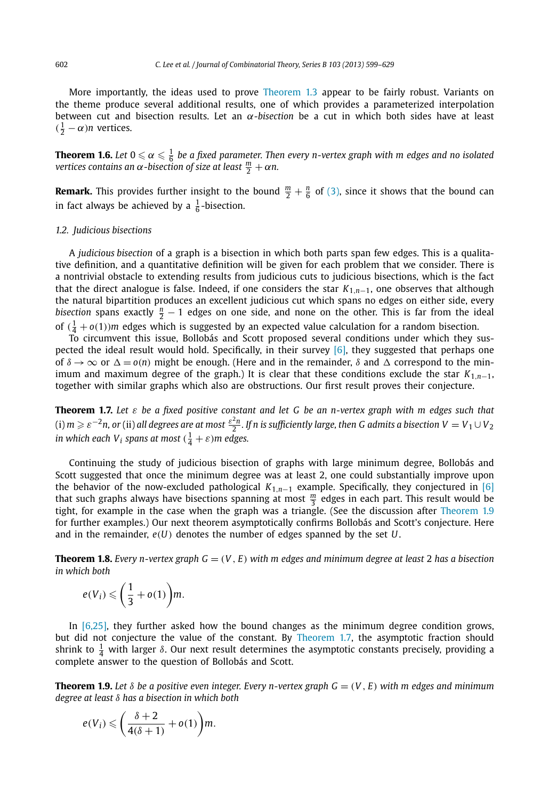<span id="page-3-0"></span>More importantly, the ideas used to prove [Theorem 1.3](#page-2-0) appear to be fairly robust. Variants on the theme produce several additional results, one of which provides a parameterized interpolation between cut and bisection results. Let an *α-bisection* be a cut in which both sides have at least  $(\frac{1}{2} - \alpha)n$  vertices.

**Theorem 1.6.** Let  $0 \leqslant \alpha \leqslant \frac{1}{6}$  be a fixed parameter. Then every n-vertex graph with m edges and no isolated *vertices contains an*  $\alpha$  *-bisection of size at least*  $\frac{m}{2} + \alpha n$ *.* 

**Remark.** This provides further insight to the bound  $\frac{m}{2} + \frac{n}{6}$  of [\(3\),](#page-2-0) since it shows that the bound can in fact always be achieved by a  $\frac{1}{6}$ -bisection.

#### *1.2. Judicious bisections*

A *judicious bisection* of a graph is a bisection in which both parts span few edges. This is a qualitative definition, and a quantitative definition will be given for each problem that we consider. There is a nontrivial obstacle to extending results from judicious cuts to judicious bisections, which is the fact that the direct analogue is false. Indeed, if one considers the star *K*1*,n*−1, one observes that although the natural bipartition produces an excellent judicious cut which spans no edges on either side, every *bisection* spans exactly  $\frac{n}{2} - 1$  edges on one side, and none on the other. This is far from the ideal of  $(\frac{1}{4} + o(1))$ *m* edges which is suggested by an expected value calculation for a random bisection.

To circumvent this issue, Bollobás and Scott proposed several conditions under which they suspected the ideal result would hold. Specifically, in their survey  $[6]$ , they suggested that perhaps one of  $\delta \to \infty$  or  $\Delta = o(n)$  might be enough. (Here and in the remainder,  $\delta$  and  $\Delta$  correspond to the minimum and maximum degree of the graph.) It is clear that these conditions exclude the star  $K_{1,n-1}$ , together with similar graphs which also are obstructions. Our first result proves their conjecture.

**Theorem 1.7.** *Let ε be a fixed positive constant and let G be an n-vertex graph with m edges such that* (i)  $m \geqslant \varepsilon^{-2}$ n, or (ii) all degrees are at most  $\frac{\varepsilon^2 n}{2}$ . If n is sufficiently large, then G admits a bisection  $V=V_1\cup V_2$ *in which each V<sub>i</sub> spans at most*  $(\frac{1}{4} + \varepsilon)$ *m edges.* 

Continuing the study of judicious bisection of graphs with large minimum degree, Bollobás and Scott suggested that once the minimum degree was at least 2, one could substantially improve upon the behavior of the now-excluded pathological *K*1*,n*−<sup>1</sup> example. Specifically, they conjectured in [\[6\]](#page-30-0) that such graphs always have bisections spanning at most *<sup>m</sup>* <sup>3</sup> edges in each part. This result would be tight, for example in the case when the graph was a triangle. (See the discussion after Theorem 1.9 for further examples.) Our next theorem asymptotically confirms Bollobás and Scott's conjecture. Here and in the remainder, *e(U)* denotes the number of edges spanned by the set *U*.

**Theorem 1.8.** *Every n-vertex graph*  $G = (V, E)$  *with m edges and minimum degree at least* 2 *has a bisection in which both*

$$
e(V_i)\leqslant\bigg(\frac{1}{3}+o(1)\bigg)m.
$$

In [\[6,25\],](#page-30-0) they further asked how the bound changes as the minimum degree condition grows, but did not conjecture the value of the constant. By Theorem 1.7, the asymptotic fraction should shrink to  $\frac{1}{4}$  with larger  $\delta$ . Our next result determines the asymptotic constants precisely, providing a complete answer to the question of Bollobás and Scott.

**Theorem 1.9.** Let  $\delta$  be a positive even integer. Every n-vertex graph  $G = (V, E)$  with m edges and minimum *degree at least δ has a bisection in which both*

$$
e(V_i) \leqslant \left(\frac{\delta+2}{4(\delta+1)}+o(1)\right)m.
$$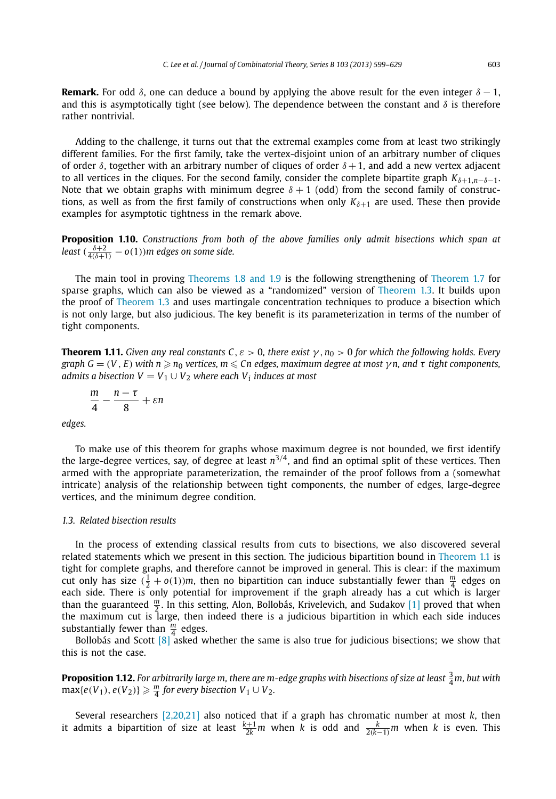<span id="page-4-0"></span>**Remark.** For odd  $\delta$ , one can deduce a bound by applying the above result for the even integer  $\delta - 1$ , and this is asymptotically tight (see below). The dependence between the constant and *δ* is therefore rather nontrivial.

Adding to the challenge, it turns out that the extremal examples come from at least two strikingly different families. For the first family, take the vertex-disjoint union of an arbitrary number of cliques of order  $\delta$ , together with an arbitrary number of cliques of order  $\delta + 1$ , and add a new vertex adjacent to all vertices in the cliques. For the second family, consider the complete bipartite graph  $K_{\delta+1,n-\delta-1}$ . Note that we obtain graphs with minimum degree  $\delta + 1$  (odd) from the second family of constructions, as well as from the first family of constructions when only  $K_{\delta+1}$  are used. These then provide examples for asymptotic tightness in the remark above.

**Proposition 1.10.** *Constructions from both of the above families only admit bisections which span at* least  $(\frac{\delta+2}{4(\delta+1)}-o(1))$ m edges on some side.

The main tool in proving [Theorems 1.8 and 1.9](#page-3-0) is the following strengthening of [Theorem 1.7](#page-3-0) for sparse graphs, which can also be viewed as a "randomized" version of [Theorem 1.3.](#page-2-0) It builds upon the proof of [Theorem 1.3](#page-2-0) and uses martingale concentration techniques to produce a bisection which is not only large, but also judicious. The key benefit is its parameterization in terms of the number of tight components.

**Theorem 1.11.** *Given any real constants C,*  $\varepsilon > 0$ *, there exist*  $\gamma$ ,  $n_0 > 0$  *for which the following holds. Every*  $g$ raph  $G = (V, E)$  with  $n \geqslant n_0$  vertices,  $m \leqslant Cn$  edges, maximum degree at most  $\gamma$ n, and  $\tau$  tight components, *admits a bisection*  $V = V_1 \cup V_2$  *where each*  $V_i$  *induces at most* 

$$
\frac{m}{4}-\frac{n-\tau}{8}+\varepsilon n
$$

*edges.*

To make use of this theorem for graphs whose maximum degree is not bounded, we first identify the large-degree vertices, say, of degree at least  $n^{3/4}$ , and find an optimal split of these vertices. Then armed with the appropriate parameterization, the remainder of the proof follows from a (somewhat intricate) analysis of the relationship between tight components, the number of edges, large-degree vertices, and the minimum degree condition.

#### *1.3. Related bisection results*

In the process of extending classical results from cuts to bisections, we also discovered several related statements which we present in this section. The judicious bipartition bound in [Theorem 1.1](#page-1-0) is tight for complete graphs, and therefore cannot be improved in general. This is clear: if the maximum cut only has size  $(\frac{1}{2} + o(1))m$ , then no bipartition can induce substantially fewer than  $\frac{m}{4}$  edges on each side. There is only potential for improvement if the graph already has a cut which is larger than the guaranteed  $\frac{m}{2}$ . In this setting, Alon, Bollobás, Krivelevich, and Sudakov [\[1\]](#page-30-0) proved that when the maximum cut is large, then indeed there is a judicious bipartition in which each side induces substantially fewer than  $\frac{m}{4}$  edges.

Bollobás and Scott  $\lceil 8 \rceil$  asked whether the same is also true for judicious bisections; we show that this is not the case.

**Proposition 1.12.** For arbitrarily large m, there are m-edge graphs with bisections of size at least  $\frac{3}{4}$ m, but with  $\max\{e(V_1), e(V_2)\} \geqslant \frac{m}{4}$  for every bisection  $V_1 \cup V_2$ .

Several researchers [\[2,20,21\]](#page-30-0) also noticed that if a graph has chromatic number at most *k*, then it admits a bipartition of size at least  $\frac{k+1}{2k}m$  when *k* is odd and  $\frac{k}{2(k-1)}m$  when *k* is even. This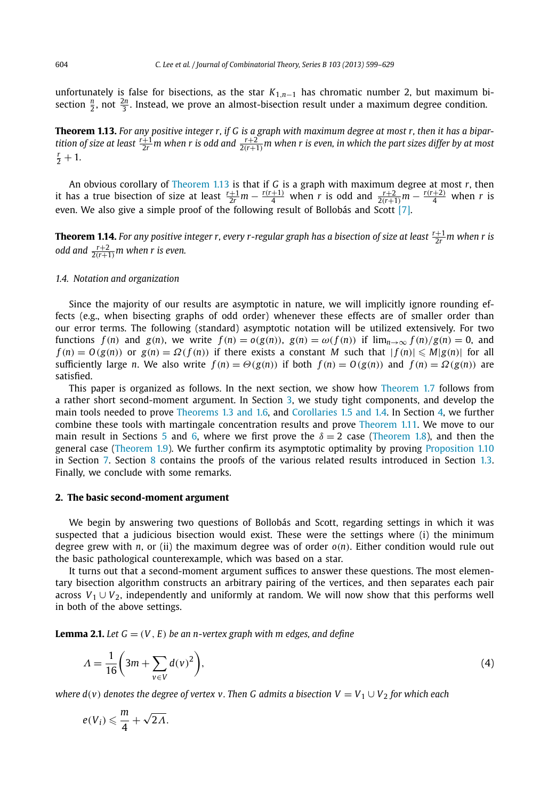<span id="page-5-0"></span>unfortunately is false for bisections, as the star  $K_{1,n-1}$  has chromatic number 2, but maximum bisection  $\frac{n}{2}$ , not  $\frac{2n}{3}$ . Instead, we prove an almost-bisection result under a maximum degree condition.

**Theorem 1.13.** For any positive integer r, if G is a graph with maximum degree at most r, then it has a bipar-<br>tition of size at least  $\frac{r+1}{2r}$ m when r is odd and  $\frac{r+2}{2(r+1)}$ m when r is even, in which the part siz  $\frac{r}{2}+1$ .

An obvious corollary of Theorem 1.13 is that if *G* is a graph with maximum degree at most *r*, then it has a true bisection of size at least  $\frac{r+1}{2r}m-\frac{r(r+1)}{4}$  when r is odd and  $\frac{r+2}{2(r+1)}m-\frac{r(r+2)}{4}$  when r is even. We also give a simple proof of the following result of Bollobás and Scott [\[7\].](#page-30-0)

**Theorem 1.14.** For any positive integer r, every r-regular graph has a bisection of size at least  $\frac{r+1}{2r}$ m when r is odd and  $\frac{r+2}{2(r+1)}$ *m when r is even.* 

#### *1.4. Notation and organization*

Since the majority of our results are asymptotic in nature, we will implicitly ignore rounding effects (e.g., when bisecting graphs of odd order) whenever these effects are of smaller order than our error terms. The following (standard) asymptotic notation will be utilized extensively. For two functions  $f(n)$  and  $g(n)$ , we write  $f(n) = o(g(n))$ ,  $g(n) = \omega(f(n))$  if  $\lim_{n \to \infty} f(n)/g(n) = 0$ , and  $f(n) = O(g(n))$  or  $g(n) = \Omega(f(n))$  if there exists a constant M such that  $|f(n)| \le M|g(n)|$  for all sufficiently large n. We also write  $f(n) = \Theta(g(n))$  if both  $f(n) = O(g(n))$  and  $f(n) = \Omega(g(n))$  are satisfied.

This paper is organized as follows. In the next section, we show how [Theorem 1.7](#page-3-0) follows from a rather short second-moment argument. In Section [3,](#page-7-0) we study tight components, and develop the main tools needed to prove [Theorems 1.3 and 1.6,](#page-2-0) and [Corollaries 1.5 and 1.4.](#page-2-0) In Section [4,](#page-11-0) we further combine these tools with martingale concentration results and prove [Theorem 1.11.](#page-4-0) We move to our main result in Sections [5](#page-15-0) and [6,](#page-17-0) where we first prove the  $\delta = 2$  case [\(Theorem 1.8\)](#page-3-0), and then the general case [\(Theorem 1.9\)](#page-3-0). We further confirm its asymptotic optimality by proving [Proposition 1.10](#page-4-0) in Section [7.](#page-27-0) Section [8](#page-28-0) contains the proofs of the various related results introduced in Section [1.3.](#page-4-0) Finally, we conclude with some remarks.

### **2. The basic second-moment argument**

We begin by answering two questions of Bollobás and Scott, regarding settings in which it was suspected that a judicious bisection would exist. These were the settings where (i) the minimum degree grew with *n*, or (ii) the maximum degree was of order  $o(n)$ . Either condition would rule out the basic pathological counterexample, which was based on a star.

It turns out that a second-moment argument suffices to answer these questions. The most elementary bisection algorithm constructs an arbitrary pairing of the vertices, and then separates each pair across  $V_1 \cup V_2$ , independently and uniformly at random. We will now show that this performs well in both of the above settings.

**Lemma 2.1.** *Let*  $G = (V, E)$  *be an n-vertex graph with m edges, and define* 

$$
\Lambda = \frac{1}{16} \left( 3m + \sum_{v \in V} d(v)^2 \right),\tag{4}
$$

*where d*(*v*) denotes the degree of vertex v. Then G admits a bisection  $V = V_1 \cup V_2$  for which each

$$
e(V_i)\leqslant \frac{m}{4}+\sqrt{2\Lambda}.
$$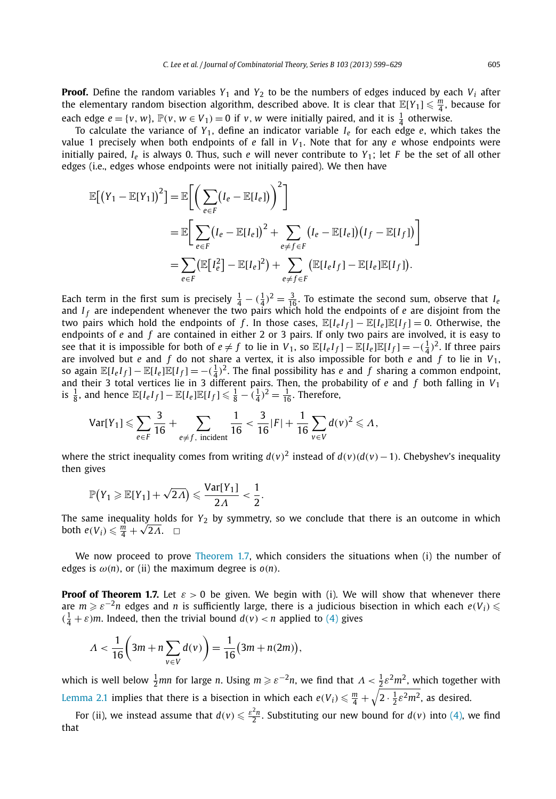**Proof.** Define the random variables  $Y_1$  and  $Y_2$  to be the numbers of edges induced by each  $V_i$  after the elementary random bisection algorithm, described above. It is clear that  $\mathbb{E}[Y_1] \leq \frac{m}{4}$ , because for each edge  $e = \{v, w\}$ ,  $\mathbb{P}(v, w \in V_1) = 0$  if *v*, *w* were initially paired, and it is  $\frac{1}{4}$  otherwise.

To calculate the variance of  $Y_1$ , define an indicator variable  $I_e$  for each edge *e*, which takes the value 1 precisely when both endpoints of *e* fall in *V*1. Note that for any *e* whose endpoints were initially paired, *Ie* is always 0. Thus, such *e* will never contribute to *Y*1; let *F* be the set of all other edges (i.e., edges whose endpoints were not initially paired). We then have

$$
\mathbb{E}[(Y_1 - \mathbb{E}[Y_1])^2] = \mathbb{E}\bigg[\bigg(\sum_{e \in F} (I_e - \mathbb{E}[I_e])\bigg)^2\bigg]
$$
  
\n
$$
= \mathbb{E}\bigg[\sum_{e \in F} (I_e - \mathbb{E}[I_e])^2 + \sum_{e \neq f \in F} (I_e - \mathbb{E}[I_e])(I_f - \mathbb{E}[I_f])\bigg]
$$
  
\n
$$
= \sum_{e \in F} (\mathbb{E}[I_e^2] - \mathbb{E}[I_e]^2) + \sum_{e \neq f \in F} (\mathbb{E}[I_eI_f] - \mathbb{E}[I_e]\mathbb{E}[I_f]).
$$

Each term in the first sum is precisely  $\frac{1}{4} - (\frac{1}{4})^2 = \frac{3}{16}$ . To estimate the second sum, observe that *I<sub>e</sub>* and *I <sup>f</sup>* are independent whenever the two pairs which hold the endpoints of *e* are disjoint from the two pairs which hold the endpoints of f. In those cases,  $\mathbb{E}[I_e I_f] - \mathbb{E}[I_e] \mathbb{E}[I_f] = 0$ . Otherwise, the endpoints of *e* and *f* are contained in either 2 or 3 pairs. If only two pairs are involved, it is easy to see that it is impossible for both of  $e \neq f$  to lie in  $V_1$ , so  $\mathbb{E}[I_eI_f] - \mathbb{E}[I_e]\mathbb{E}[I_f] = -(\frac{1}{4})^2$ . If three pairs are involved but *e* and *f* do not share a vertex, it is also impossible for both *e* and *f* to lie in  $V_1$ , so again  $\mathbb{E}[I_eI_f] - \mathbb{E}[I_e]\mathbb{E}[I_f] = -(\frac{1}{4})^2$ . The final possibility has *e* and *f* sharing a common endpoint, and their 3 total vertices lie in 3 different pairs. Then, the probability of *e* and *f* both falling in *V*<sup>1</sup> is  $\frac{1}{8}$ , and hence  $\mathbb{E}[I_eI_f] - \mathbb{E}[I_e]\mathbb{E}[I_f] \leq \frac{1}{8} - (\frac{1}{4})^2 = \frac{1}{16}$ . Therefore,

$$
\text{Var}[Y_1] \leqslant \sum_{e \in F} \frac{3}{16} + \sum_{e \neq f, \text{ incident}} \frac{1}{16} < \frac{3}{16} |F| + \frac{1}{16} \sum_{v \in V} d(v)^2 \leqslant \Lambda,
$$

where the strict inequality comes from writing  $d(v)^2$  instead of  $d(v)(d(v)-1)$ . Chebyshev's inequality then gives

$$
\mathbb{P}\big(Y_1 \geqslant \mathbb{E}[Y_1]+\sqrt{2\Lambda}\big) \leqslant \frac{\text{Var}[Y_1]}{2\Lambda} < \frac{1}{2}.
$$

The same inequality holds for *Y*<sup>2</sup> by symmetry, so we conclude that there is an outcome in which both  $e(V_i) \leq \frac{m}{4} + \sqrt{2\Lambda}$ .  $\Box$ 

We now proceed to prove [Theorem 1.7,](#page-3-0) which considers the situations when (i) the number of edges is  $\omega(n)$ , or (ii) the maximum degree is  $o(n)$ .

**Proof of Theorem 1.7.** Let  $\varepsilon > 0$  be given. We begin with (i). We will show that whenever there are  $m \geqslant \varepsilon^{-2} n$  edges and *n* is sufficiently large, there is a judicious bisection in which each  $e(V_i)$  $(\frac{1}{4} + \varepsilon)m$ . Indeed, then the trivial bound  $d(v) < n$  applied to [\(4\)](#page-5-0) gives

$$
\Lambda < \frac{1}{16} \bigg( 3m + n \sum_{v \in V} d(v) \bigg) = \frac{1}{16} \big( 3m + n(2m) \big),
$$

which is well below  $\frac{1}{2}$ *mn* for large *n*. Using  $m \geqslant \varepsilon^{-2}n$ , we find that  $\Lambda < \frac{1}{2}\varepsilon^2 m^2$ , which together with [Lemma 2.1](#page-5-0) implies that there is a bisection in which each  $e(V_i)\leqslant \frac{m}{4}+\sqrt{2\cdot\frac{1}{2}\varepsilon^2m^2}$ , as desired.

For (ii), we instead assume that  $d(v) \leqslant \frac{\varepsilon^2 n}{2}$ . Substituting our new bound for  $d(v)$  into [\(4\),](#page-5-0) we find that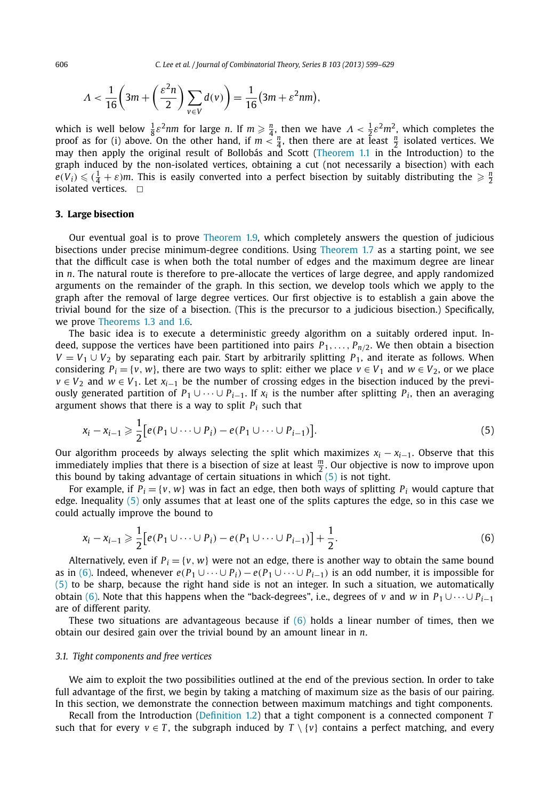<span id="page-7-0"></span>606 *C. Lee et al. / Journal of Combinatorial Theory, Series B 103 (2013) 599–629*

$$
\Lambda < \frac{1}{16} \left( 3m + \left( \frac{\varepsilon^2 n}{2} \right) \sum_{v \in V} d(v) \right) = \frac{1}{16} (3m + \varepsilon^2 nm),
$$

which is well below  $\frac{1}{8} \varepsilon^2 n m$  for large *n*. If  $m \ge \frac{n}{4}$ , then we have  $\Lambda < \frac{1}{2} \varepsilon^2 m^2$ , which completes the proof as for (i) above. On the other hand, if  $m < \frac{n}{4}$ , then there are at least  $\frac{n}{2}$  isolated vertices. We may then apply the original result of Bollobás and Scott [\(Theorem 1.1](#page-1-0) in the Introduction) to the graph induced by the non-isolated vertices, obtaining a cut (not necessarily a bisection) with each  $e(V_i) \leq (1 + \varepsilon)m$ . This is easily converted into a perfect bisection by suitably distributing the  $\geq \frac{n}{2}$ isolated vertices.  $\square$ 

# **3. Large bisection**

Our eventual goal is to prove [Theorem 1.9,](#page-3-0) which completely answers the question of judicious bisections under precise minimum-degree conditions. Using [Theorem 1.7](#page-3-0) as a starting point, we see that the difficult case is when both the total number of edges and the maximum degree are linear in *n*. The natural route is therefore to pre-allocate the vertices of large degree, and apply randomized arguments on the remainder of the graph. In this section, we develop tools which we apply to the graph after the removal of large degree vertices. Our first objective is to establish a gain above the trivial bound for the size of a bisection. (This is the precursor to a judicious bisection.) Specifically, we prove [Theorems 1.3 and 1.6.](#page-2-0)

The basic idea is to execute a deterministic greedy algorithm on a suitably ordered input. Indeed, suppose the vertices have been partitioned into pairs  $P_1, \ldots, P_{n/2}$ . We then obtain a bisection *V* =  $V_1$  ∪  $V_2$  by separating each pair. Start by arbitrarily splitting  $P_1$ , and iterate as follows. When considering  $P_i = \{v, w\}$ , there are two ways to split: either we place  $v \in V_1$  and  $w \in V_2$ , or we place  $v \in V_2$  and  $w \in V_1$ . Let  $x_{i-1}$  be the number of crossing edges in the bisection induced by the previously generated partition of  $P_1 \cup \cdots \cup P_{i-1}$ . If  $x_i$  is the number after splitting  $P_i$ , then an averaging argument shows that there is a way to split *Pi* such that

$$
x_i - x_{i-1} \geq \frac{1}{2} \big[ e(P_1 \cup \dots \cup P_i) - e(P_1 \cup \dots \cup P_{i-1}) \big]. \tag{5}
$$

Our algorithm proceeds by always selecting the split which maximizes  $x_i - x_{i-1}$ . Observe that this immediately implies that there is a bisection of size at least *<sup>m</sup>* <sup>2</sup> . Our objective is now to improve upon this bound by taking advantage of certain situations in which  $(5)$  is not tight.

For example, if  $P_i = \{v, w\}$  was in fact an edge, then both ways of splitting  $P_i$  would capture that edge. Inequality (5) only assumes that at least one of the splits captures the edge, so in this case we could actually improve the bound to

$$
x_i - x_{i-1} \geq \frac{1}{2} \big[ e(P_1 \cup \dots \cup P_i) - e(P_1 \cup \dots \cup P_{i-1}) \big] + \frac{1}{2}.
$$
 (6)

Alternatively, even if  $P_i = \{v, w\}$  were not an edge, there is another way to obtain the same bound as in (6). Indeed, whenever  $e(P_1 \cup \cdots \cup P_i) - e(P_1 \cup \cdots \cup P_{i-1})$  is an odd number, it is impossible for (5) to be sharp, because the right hand side is not an integer. In such a situation, we automatically obtain (6). Note that this happens when the "back-degrees", i.e., degrees of *v* and *w* in  $P_1 \cup \cdots \cup P_{i-1}$ are of different parity.

These two situations are advantageous because if  $(6)$  holds a linear number of times, then we obtain our desired gain over the trivial bound by an amount linear in *n*.

#### *3.1. Tight components and free vertices*

We aim to exploit the two possibilities outlined at the end of the previous section. In order to take full advantage of the first, we begin by taking a matching of maximum size as the basis of our pairing. In this section, we demonstrate the connection between maximum matchings and tight components.

Recall from the Introduction [\(Definition](#page-2-0) 1.2) that a tight component is a connected component *T* such that for every  $v \in T$ , the subgraph induced by  $T \setminus \{v\}$  contains a perfect matching, and every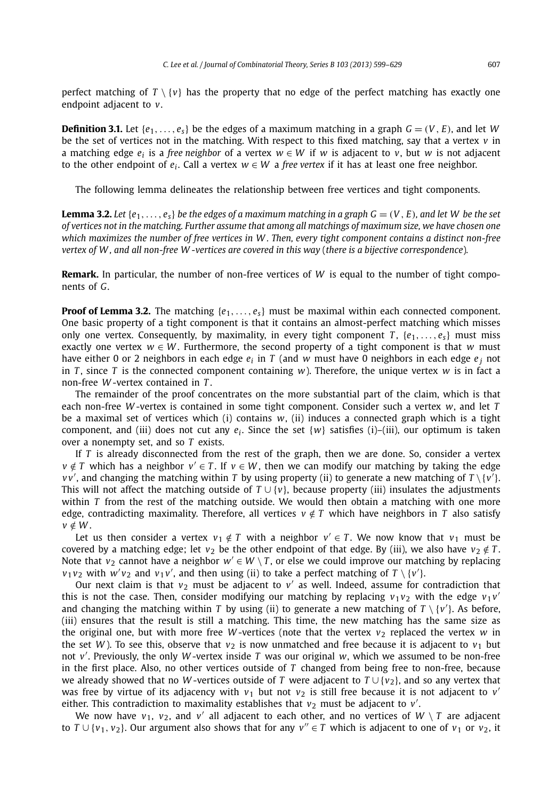<span id="page-8-0"></span>perfect matching of  $T \setminus \{v\}$  has the property that no edge of the perfect matching has exactly one endpoint adjacent to *v*.

**Definition 3.1.** Let  $\{e_1, \ldots, e_s\}$  be the edges of a maximum matching in a graph  $G = (V, E)$ , and let *W* be the set of vertices not in the matching. With respect to this fixed matching, say that a vertex  $\nu$  in a matching edge  $e_i$  is a *free neighbor* of a vertex  $w \in W$  if w is adjacent to *v*, but *w* is not adjacent to the other endpoint of  $e_i$ . Call a vertex  $w \in W$  a *free vertex* if it has at least one free neighbor.

The following lemma delineates the relationship between free vertices and tight components.

**Lemma 3.2.** Let  $\{e_1, \ldots, e_s\}$  be the edges of a maximum matching in a graph  $G = (V, E)$ , and let W be the set *of vertices not in the matching. Further assume that among all matchings of maximum size, we have chosen one which maximizes the number of free vertices in W . Then, every tight component contains a distinct non-free vertex of W , and all non-free W -vertices are covered in this way* (*there is a bijective correspondence*)*.*

**Remark.** In particular, the number of non-free vertices of *W* is equal to the number of tight components of *G*.

**Proof of Lemma 3.2.** The matching  ${e_1, \ldots, e_s}$  must be maximal within each connected component. One basic property of a tight component is that it contains an almost-perfect matching which misses only one vertex. Consequently, by maximality, in every tight component *T*,  $\{e_1, \ldots, e_s\}$  must miss exactly one vertex  $w \in W$ . Furthermore, the second property of a tight component is that *w* must have either 0 or 2 neighbors in each edge *ei* in *T* (and *w* must have 0 neighbors in each edge *e <sup>j</sup>* not in *T*, since *T* is the connected component containing *w*). Therefore, the unique vertex *w* is in fact a non-free *W* -vertex contained in *T* .

The remainder of the proof concentrates on the more substantial part of the claim, which is that each non-free *W* -vertex is contained in some tight component. Consider such a vertex *w*, and let *T* be a maximal set of vertices which (i) contains *w*, (ii) induces a connected graph which is a tight component, and (iii) does not cut any  $e_i$ . Since the set  $\{w\}$  satisfies (i)–(iii), our optimum is taken over a nonempty set, and so *T* exists.

If *T* is already disconnected from the rest of the graph, then we are done. So, consider a vertex  $v \notin T$  which has a neighbor  $v' \in T$ . If  $v \in W$ , then we can modify our matching by taking the edge  $\nu$  *v*', and changing the matching within *T* by using property (ii) to generate a new matching of  $T \setminus \{v^r\}$ . This will not affect the matching outside of  $T \cup \{v\}$ , because property (iii) insulates the adjustments within *T* from the rest of the matching outside. We would then obtain a matching with one more edge, contradicting maximality. Therefore, all vertices  $v \notin T$  which have neighbors in *T* also satisfy  $v \notin W$ .

Let us then consider a vertex  $v_1 \notin T$  with a neighbor  $v' \in T$ . We now know that  $v_1$  must be covered by a matching edge; let  $v_2$  be the other endpoint of that edge. By (iii), we also have  $v_2 \notin T$ . Note that  $v_2$  cannot have a neighbor  $w' \in W \setminus T$ , or else we could improve our matching by replacing  $v_1v_2$  with  $w'v_2$  and  $v_1v'$ , and then using (ii) to take a perfect matching of  $T \setminus \{v'\}$ .

Our next claim is that  $v_2$  must be adjacent to  $v'$  as well. Indeed, assume for contradiction that this is not the case. Then, consider modifying our matching by replacing  $v_1v_2$  with the edge  $v_1v_2'$ and changing the matching within *T* by using (ii) to generate a new matching of  $T \setminus \{v'\}$ . As before, (iii) ensures that the result is still a matching. This time, the new matching has the same size as the original one, but with more free *W*-vertices (note that the vertex  $v_2$  replaced the vertex *w* in the set *W*). To see this, observe that  $v_2$  is now unmatched and free because it is adjacent to  $v_1$  but not *v* . Previously, the only *W* -vertex inside *T* was our original *w*, which we assumed to be non-free in the first place. Also, no other vertices outside of *T* changed from being free to non-free, because we already showed that no *W* -vertices outside of *T* were adjacent to *T* ∪{*v*2}, and so any vertex that was free by virtue of its adjacency with  $v_1$  but not  $v_2$  is still free because it is not adjacent to  $v'$ either. This contradiction to maximality establishes that  $v_2$  must be adjacent to  $v'$ .

We now have  $v_1$ ,  $v_2$ , and  $v'$  all adjacent to each other, and no vertices of  $W \setminus T$  are adjacent to  $T \cup \{v_1, v_2\}$ . Our argument also shows that for any  $v'' \in T$  which is adjacent to one of  $v_1$  or  $v_2$ , it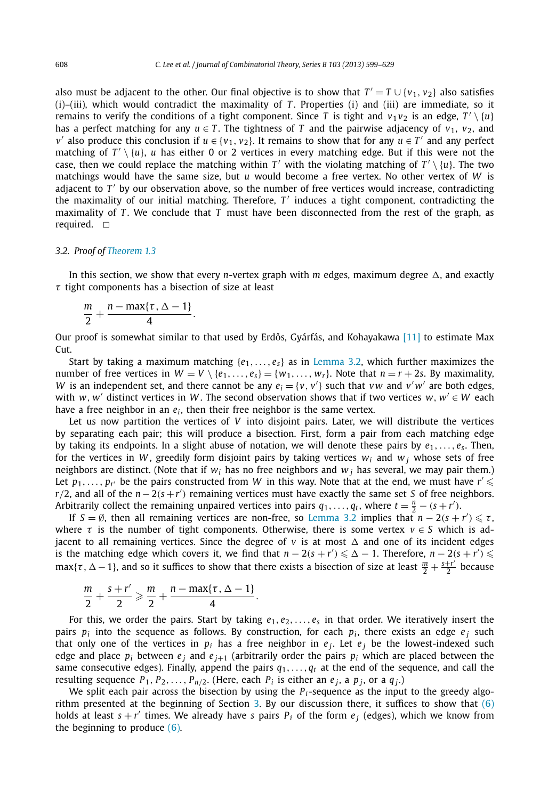<span id="page-9-0"></span>also must be adjacent to the other. Our final objective is to show that  $T' = T \cup \{v_1, v_2\}$  also satisfies (i)–(iii), which would contradict the maximality of *T*. Properties (i) and (iii) are immediate, so it remains to verify the conditions of a tight component. Since *T* is tight and  $v_1v_2$  is an edge,  $T' \setminus \{u\}$ has a perfect matching for any  $u \in T$ . The tightness of T and the pairwise adjacency of  $v_1$ ,  $v_2$ , and *v*' also produce this conclusion if  $u \in \{v_1, v_2\}$ . It remains to show that for any  $u \in T'$  and any perfect matching of  $T' \setminus \{u\}$ , *u* has either 0 or 2 vertices in every matching edge. But if this were not the case, then we could replace the matching within  $T'$  with the violating matching of  $T' \setminus \{u\}$ . The two matchings would have the same size, but *u* would become a free vertex. No other vertex of *W* is adjacent to  $T'$  by our observation above, so the number of free vertices would increase, contradicting the maximality of our initial matching. Therefore, T' induces a tight component, contradicting the maximality of *T* . We conclude that *T* must have been disconnected from the rest of the graph, as required.  $\Box$ 

## *3.2. Proof of [Theorem 1.3](#page-2-0)*

In this section, we show that every *n*-vertex graph with  $m$  edges, maximum degree  $\Delta$ , and exactly *τ* tight components has a bisection of size at least

 $\frac{m}{2} + \frac{n - \max\{\tau, \Delta - 1\}}{4}.$ 

Our proof is somewhat similar to that used by Erdős, Gyárfás, and Kohayakawa [\[11\]](#page-30-0) to estimate Max Cut.

Start by taking a maximum matching  $\{e_1, \ldots, e_s\}$  as in [Lemma 3.2,](#page-8-0) which further maximizes the number of free vertices in  $W = V \setminus \{e_1, \ldots, e_s\} = \{w_1, \ldots, w_r\}$ . Note that  $n = r + 2s$ . By maximality, *W* is an independent set, and there cannot be any  $e_i = \{v, v'\}$  such that *vw* and  $v'w'$  are both edges, with  $w$ ,  $w'$  distinct vertices in W. The second observation shows that if two vertices  $w, w' \in W$  each have a free neighbor in an  $e_i$ , then their free neighbor is the same vertex.

Let us now partition the vertices of *V* into disjoint pairs. Later, we will distribute the vertices by separating each pair; this will produce a bisection. First, form a pair from each matching edge by taking its endpoints. In a slight abuse of notation, we will denote these pairs by  $e_1, \ldots, e_s$ . Then, for the vertices in *W*, greedily form disjoint pairs by taking vertices  $w_i$  and  $w_j$  whose sets of free neighbors are distinct. (Note that if  $w_i$  has no free neighbors and  $w_i$  has several, we may pair them.) Let  $p_1, \ldots, p_{r'}$  be the pairs constructed from W in this way. Note that at the end, we must have  $r'$ *r*/2, and all of the  $n - 2(s + r')$  remaining vertices must have exactly the same set *S* of free neighbors. Arbitrarily collect the remaining unpaired vertices into pairs  $q_1, \ldots, q_t$ , where  $t = \frac{n}{2} - (s + r')$ .

If  $S = \emptyset$ , then all remaining vertices are non-free, so [Lemma 3.2](#page-8-0) implies that  $n - 2(s + r') \leq \tau$ , where  $\tau$  is the number of tight components. Otherwise, there is some vertex  $v \in S$  which is adjacent to all remaining vertices. Since the degree of  $v$  is at most  $\Delta$  and one of its incident edges is the matching edge which covers it, we find that  $n - 2(s + r') \leq \Delta - 1$ . Therefore,  $n - 2(s + r') \leq \Delta - 1$  $max{\lbrace \tau, \Delta-1 \rbrace}$ , and so it suffices to show that there exists a bisection of size at least  $\frac{m}{2} + \frac{s+r'}{2}$  because

$$
\frac{m}{2}+\frac{s+r'}{2}\geqslant \frac{m}{2}+\frac{n-\max\{\tau,\Delta-1\}}{4}.
$$

For this, we order the pairs. Start by taking  $e_1, e_2, \ldots, e_s$  in that order. We iteratively insert the pairs  $p_i$  into the sequence as follows. By construction, for each  $p_i$ , there exists an edge  $e_i$  such that only one of the vertices in  $p_i$  has a free neighbor in  $e_j$ . Let  $e_j$  be the lowest-indexed such edge and place  $p_i$  between  $e_j$  and  $e_{j+1}$  (arbitrarily order the pairs  $p_i$  which are placed between the same consecutive edges). Finally, append the pairs  $q_1, \ldots, q_t$  at the end of the sequence, and call the resulting sequence  $P_1, P_2, \ldots, P_{n/2}$ . (Here, each  $P_i$  is either an  $e_i$ , a  $p_i$ , or a  $q_i$ .)

We split each pair across the bisection by using the  $P_i$ -sequence as the input to the greedy algorithm presented at the beginning of Section [3.](#page-7-0) By our discussion there, it suffices to show that [\(6\)](#page-7-0) holds at least  $s + r'$  times. We already have *s* pairs  $P_i$  of the form  $e_j$  (edges), which we know from the beginning to produce [\(6\).](#page-7-0)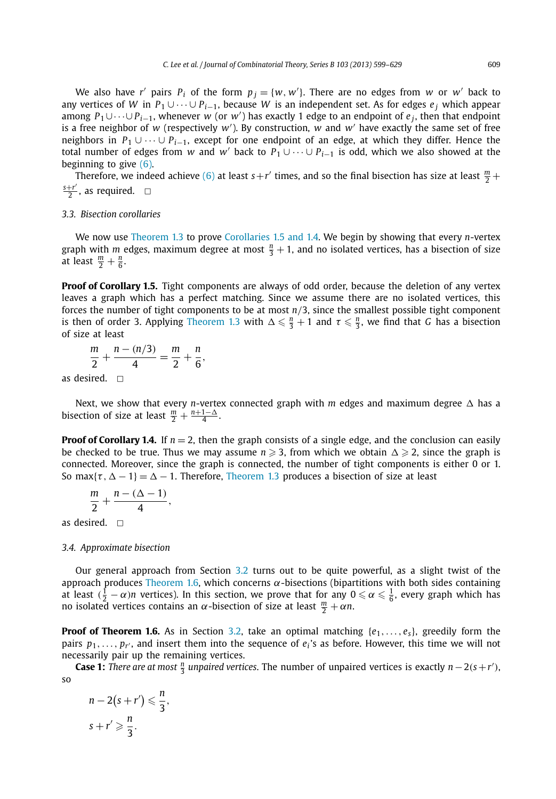We also have *r'* pairs  $P_i$  of the form  $p_j = \{w, w'\}$ . There are no edges from *w* or *w'* back to any vertices of *W* in  $P_1 \cup \cdots \cup P_{i-1}$ , because *W* is an independent set. As for edges  $e_i$  which appear among *<sup>P</sup>*1∪···∪ *Pi*−1, whenever *<sup>w</sup>* (or *<sup>w</sup>* ) has exactly 1 edge to an endpoint of *e <sup>j</sup>*, then that endpoint is a free neighbor of *w* (respectively *w* ). By construction, *w* and *w* have exactly the same set of free neighbors in *P*<sup>1</sup> ∪···∪ *Pi*−1, except for one endpoint of an edge, at which they differ. Hence the total number of edges from *w* and *w'* back to  $P_1 \cup \cdots \cup P_{i-1}$  is odd, which we also showed at the beginning to give [\(6\).](#page-7-0)

Therefore, we indeed achieve [\(6\)](#page-7-0) at least  $s+r'$  times, and so the final bisection has size at least  $\frac{m}{2}$  +  $\frac{s+r'}{2}$ , as required.  $\Box$ 

#### *3.3. Bisection corollaries*

We now use [Theorem 1.3](#page-2-0) to prove [Corollaries 1.5 and 1.4.](#page-2-0) We begin by showing that every *n*-vertex graph with *m* edges, maximum degree at most  $\frac{n}{3} + 1$ , and no isolated vertices, has a bisection of size at least  $\frac{m}{2} + \frac{n}{6}$ .

**Proof of Corollary 1.5.** Tight components are always of odd order, because the deletion of any vertex leaves a graph which has a perfect matching. Since we assume there are no isolated vertices, this forces the number of tight components to be at most *n/*3, since the smallest possible tight component is then of order 3. Applying [Theorem 1.3](#page-2-0) with  $\Delta \leq \frac{n}{3} + 1$  and  $\tau \leq \frac{n}{3}$ , we find that *G* has a bisection of size at least

$$
\frac{m}{2} + \frac{n - (n/3)}{4} = \frac{m}{2} + \frac{n}{6},
$$

as desired.  $\square$ 

Next, we show that every *n*-vertex connected graph with  $m$  edges and maximum degree  $\Delta$  has a bisection of size at least  $\frac{m}{2} + \frac{n+1-\Delta}{4}$ .

**Proof of Corollary 1.4.** If  $n = 2$ , then the graph consists of a single edge, and the conclusion can easily be checked to be true. Thus we may assume  $n \geqslant 3$ , from which we obtain  $\Delta \geqslant 2$ , since the graph is connected. Moreover, since the graph is connected, the number of tight components is either 0 or 1. So max $\{\tau, \Delta - 1\} = \Delta - 1$ . Therefore, [Theorem 1.3](#page-2-0) produces a bisection of size at least

$$
\frac{m}{2}+\frac{n-(\Delta-1)}{4},
$$

as desired.  $\Box$ 

## *3.4. Approximate bisection*

Our general approach from Section [3.2](#page-9-0) turns out to be quite powerful, as a slight twist of the approach produces [Theorem 1.6,](#page-3-0) which concerns *α*-bisections (bipartitions with both sides containing at least  $(\frac{1}{2} - \alpha)n$  vertices). In this section, we prove that for any  $0 \leq \alpha \leq \frac{1}{6}$ , every graph which has no isolated vertices contains an *α*-bisection of size at least  $\frac{m}{2} + \alpha n$ .

**Proof of Theorem 1.6.** As in Section [3.2,](#page-9-0) take an optimal matching  $\{e_1, \ldots, e_s\}$ , greedily form the pairs  $p_1, \ldots, p_{r'}$ , and insert them into the sequence of  $e_i$ 's as before. However, this time we will not necessarily pair up the remaining vertices.

**Case 1:** *There are at most*  $\frac{n}{3}$  *unpaired vertices*. The number of unpaired vertices is exactly  $n-2(s+r')$ , so

$$
n-2(s+r') \leqslant \frac{n}{3},
$$
  

$$
s+r' \geqslant \frac{n}{3}.
$$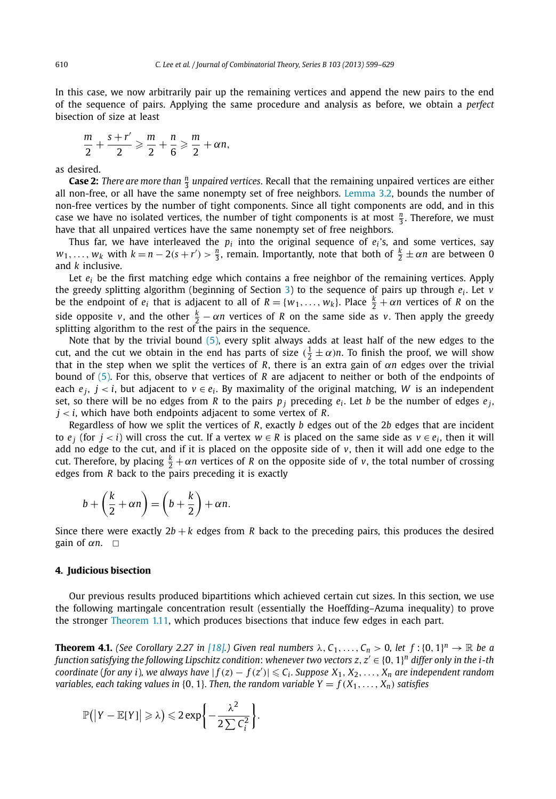<span id="page-11-0"></span>In this case, we now arbitrarily pair up the remaining vertices and append the new pairs to the end of the sequence of pairs. Applying the same procedure and analysis as before, we obtain a *perfect* bisection of size at least

$$
\frac{m}{2} + \frac{s + r'}{2} \geqslant \frac{m}{2} + \frac{n}{6} \geqslant \frac{m}{2} + \alpha n,
$$

as desired.

**Case 2:** *There are more than*  $\frac{n}{3}$  *unpaired vertices.* Recall that the remaining unpaired vertices are either all non-free, or all have the same nonempty set of free neighbors. [Lemma 3.2,](#page-8-0) bounds the number of non-free vertices by the number of tight components. Since all tight components are odd, and in this case we have no isolated vertices, the number of tight components is at most  $\frac{n}{3}$ . Therefore, we must have that all unpaired vertices have the same nonempty set of free neighbors.

Thus far, we have interleaved the  $p_i$  into the original sequence of  $e_i$ 's, and some vertices, say  $w_1, \ldots, w_k$  with  $k = n - 2(s + r') > \frac{n}{3}$ , remain. Importantly, note that both of  $\frac{k}{2} \pm \alpha n$  are between 0 and *k* inclusive.

Let *ei* be the first matching edge which contains a free neighbor of the remaining vertices. Apply the greedy splitting algorithm (beginning of Section [3\)](#page-7-0) to the sequence of pairs up through *ei* . Let *v* be the endpoint of  $e_i$  that is adjacent to all of  $R = \{w_1, \ldots, w_k\}$ . Place  $\frac{k}{2} + \alpha n$  vertices of R on the side opposite *v*, and the other  $\frac{k}{2} - \alpha n$  vertices of *R* on the same side as *v*. Then apply the greedy splitting algorithm to the rest of the pairs in the sequence.

Note that by the trivial bound [\(5\),](#page-7-0) every split always adds at least half of the new edges to the cut, and the cut we obtain in the end has parts of size  $(\frac{1}{2} \pm \alpha)n$ . To finish the proof, we will show that in the step when we split the vertices of *R*, there is an extra gain of *αn* edges over the trivial bound of [\(5\).](#page-7-0) For this, observe that vertices of *R* are adjacent to neither or both of the endpoints of each  $e_j$ ,  $j < i$ , but adjacent to  $v \in e_i$ . By maximality of the original matching, W is an independent set, so there will be no edges from *R* to the pairs  $p_i$  preceding  $e_i$ . Let *b* be the number of edges  $e_i$ , *j < i*, which have both endpoints adjacent to some vertex of *R*.

Regardless of how we split the vertices of *R*, exactly *b* edges out of the 2*b* edges that are incident to  $e_i$  (for  $j < i$ ) will cross the cut. If a vertex  $w \in R$  is placed on the same side as  $v \in e_i$ , then it will add no edge to the cut, and if it is placed on the opposite side of  $v$ , then it will add one edge to the cut. Therefore, by placing  $\frac{k}{2} + \alpha n$  vertices of *R* on the opposite side of *v*, the total number of crossing edges from *R* back to the pairs preceding it is exactly

$$
b + \left(\frac{k}{2} + \alpha n\right) = \left(b + \frac{k}{2}\right) + \alpha n.
$$

Since there were exactly  $2b + k$  edges from R back to the preceding pairs, this produces the desired gain of  $\alpha n$ .  $\Box$ 

#### **4. Judicious bisection**

Our previous results produced bipartitions which achieved certain cut sizes. In this section, we use the following martingale concentration result (essentially the Hoeffding–Azuma inequality) to prove the stronger [Theorem 1.11,](#page-4-0) which produces bisections that induce few edges in each part.

**Theorem 4.1.** (See Corollary 2.27 in [\[18\].](#page-30-0)) Given real numbers  $\lambda$ ,  $C_1, \ldots, C_n > 0$ , let  $f : \{0, 1\}^n \to \mathbb{R}$  be a *function satisfying the following Lipschitz condition*: *whenever two vectors z, z* ∈ {0*,* 1} *<sup>n</sup> differ only in the i-th* coordinate (for any i), we always have  $|f(z)-f(z')|\leqslant C_i.$  Suppose  $X_1,X_2,\ldots,X_n$  are independent random *variables, each taking values in* {0, 1}*. Then, the random variable Y =*  $f(X_1, \ldots, X_n)$  *satisfies* 

$$
\mathbb{P}(|Y - \mathbb{E}[Y]| \geq \lambda) \leqslant 2 \exp \left\{-\frac{\lambda^2}{2 \sum C_i^2}\right\}.
$$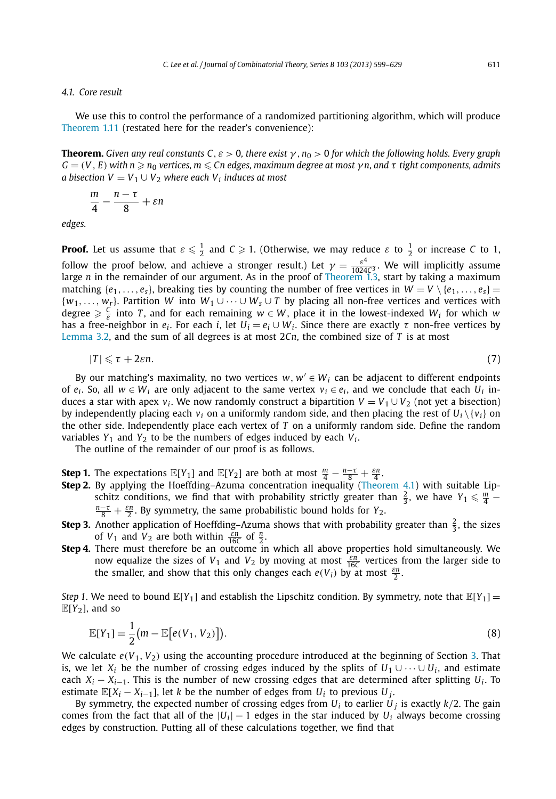#### <span id="page-12-0"></span>*4.1. Core result*

We use this to control the performance of a randomized partitioning algorithm, which will produce [Theorem 1.11](#page-4-0) (restated here for the reader's convenience):

**Theorem.** *Given any real constants C, ε >* 0*, there exist γ ,n*<sup>0</sup> *>* 0 *for which the following holds. Every graph*  $G = (V, E)$  with  $n \geqslant n_0$  vertices,  $m \leqslant Cn$  edges, maximum degree at most  $\gamma n$ , and  $\tau$  tight components, admits *a bisection*  $V = V_1 \cup V_2$  *where each*  $V_i$  *induces at most* 

$$
\frac{m}{4}-\frac{n-\tau}{8}+\varepsilon n
$$

*edges.*

**Proof.** Let us assume that  $\varepsilon \le \frac{1}{2}$  and  $C \ge 1$ . (Otherwise, we may reduce  $\varepsilon$  to  $\frac{1}{2}$  or increase C to 1, follow the proof below, and achieve a stronger result.) Let  $\gamma = \frac{\varepsilon^4}{1024C^3}$ . We will implicitly assume large *n* in the remainder of our argument. As in the proof of [Theorem 1.3,](#page-2-0) start by taking a maximum matching  $\{e_1, \ldots, e_s\}$ , breaking ties by counting the number of free vertices in  $W = V \setminus \{e_1, \ldots, e_s\}$ {*w*1*,..., wr*}. Partition *W* into *W*<sup>1</sup> ∪···∪ *Ws* ∪ *T* by placing all non-free vertices and vertices with degree  $\geq \frac{C}{\varepsilon}$  into *T*, and for each remaining  $w \in W$ , place it in the lowest-indexed  $W_i$  for which *w* has a free-neighbor in  $e_i$ . For each *i*, let  $U_i = e_i \cup W_i$ . Since there are exactly  $\tau$  non-free vertices by [Lemma 3.2,](#page-8-0) and the sum of all degrees is at most 2*Cn*, the combined size of *T* is at most

$$
|T| \leq \tau + 2\varepsilon n. \tag{7}
$$

By our matching's maximality, no two vertices  $w, w' \in W_i$  can be adjacent to different endpoints of  $e_i$ . So, all  $w \in W_i$  are only adjacent to the same vertex  $v_i \in e_i$ , and we conclude that each  $U_i$  induces a star with apex  $v_i$ . We now randomly construct a bipartition  $V = V_1 \cup V_2$  (not yet a bisection) by independently placing each  $v_i$  on a uniformly random side, and then placing the rest of  $U_i \setminus \{v_i\}$  on the other side. Independently place each vertex of *T* on a uniformly random side. Define the random variables  $Y_1$  and  $Y_2$  to be the numbers of edges induced by each  $V_i$ .

The outline of the remainder of our proof is as follows.

- **Step 1.** The expectations  $\mathbb{E}[Y_1]$  and  $\mathbb{E}[Y_2]$  are both at most  $\frac{m}{4} \frac{n-\tau}{8} + \frac{\varepsilon n}{4}$ .
- **Step 2.** By applying the Hoeffding–Azuma concentration inequality [\(Theorem 4.1\)](#page-11-0) with suitable Lipschitz conditions, we find that with probability strictly greater than  $\frac{2}{3}$ , we have  $Y_1 \leq \frac{m}{4} - \frac{n-r}{n} + \frac{\varepsilon n}{2}$  By symmetry the same probabilistic bound holds for *Y*<sub>2</sub>  $\frac{-\tau}{8} + \frac{\varepsilon n}{2}$ . By symmetry, the same probabilistic bound holds for *Y*<sub>2</sub>.
- **Step 3.** Another application of Hoeffding–Azuma shows that with probability greater than  $\frac{2}{3}$ , the sizes of  $V_1$  and  $V_2$  are both within  $\frac{\bar{\varepsilon}n}{16C}$  of  $\frac{n}{2}$ .
- Step 4. There must therefore be an outcome in which all above properties hold simultaneously. We now equalize the sizes of  $V_1$  and  $V_2$  by moving at most  $\frac{\varepsilon n}{16C}$  vertices from the larger side to the smaller, and show that this only changes each  $e(V_i)$  by at most  $\frac{\varepsilon n}{2}$ .

*Step 1*. We need to bound  $\mathbb{E}[Y_1]$  and establish the Lipschitz condition. By symmetry, note that  $\mathbb{E}[Y_1] =$  $E[Y_2]$ , and so

$$
\mathbb{E}[Y_1] = \frac{1}{2} (m - \mathbb{E}[e(V_1, V_2)]). \tag{8}
$$

We calculate  $e(V_1, V_2)$  using the accounting procedure introduced at the beginning of Section [3.](#page-7-0) That is, we let  $X_i$  be the number of crossing edges induced by the splits of  $U_1 \cup \cdots \cup U_i$ , and estimate each  $X_i - X_{i-1}$ . This is the number of new crossing edges that are determined after splitting  $U_i$ . To estimate  $\mathbb{E}[X_i - X_{i-1}]$ , let *k* be the number of edges from  $U_i$  to previous  $U_i$ .

By symmetry, the expected number of crossing edges from  $U_i$  to earlier  $U_j$  is exactly  $k/2$ . The gain comes from the fact that all of the  $|U_i| - 1$  edges in the star induced by  $U_i$  always become crossing edges by construction. Putting all of these calculations together, we find that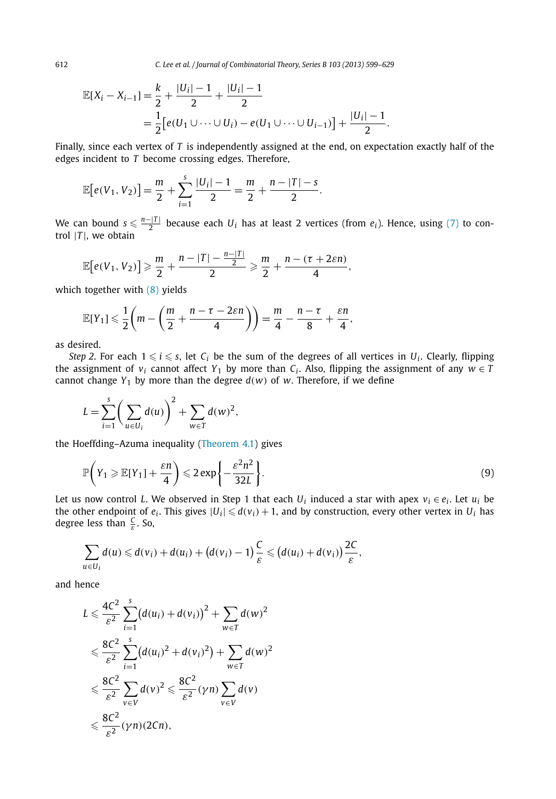<span id="page-13-0"></span>612 *C. Lee et al. / Journal of Combinatorial Theory, Series B 103 (2013) 599–629*

$$
\mathbb{E}[X_i - X_{i-1}] = \frac{k}{2} + \frac{|U_i| - 1}{2} + \frac{|U_i| - 1}{2}
$$
  
= 
$$
\frac{1}{2} [e(U_1 \cup \dots \cup U_i) - e(U_1 \cup \dots \cup U_{i-1})] + \frac{|U_i| - 1}{2}.
$$

Finally, since each vertex of *T* is independently assigned at the end, on expectation exactly half of the edges incident to *T* become crossing edges. Therefore,

$$
\mathbb{E}[e(V_1, V_2)] = \frac{m}{2} + \sum_{i=1}^{s} \frac{|U_i| - 1}{2} = \frac{m}{2} + \frac{n - |T| - s}{2}.
$$

We can bound  $s \leq \frac{n-|T|}{2}$  because each  $U_i$  has at least 2 vertices (from  $e_i$ ). Hence, using [\(7\)](#page-12-0) to control  $|T|$ , we obtain

$$
\mathbb{E}\big[e(V_1,V_2)\big]\geqslant \frac{m}{2}+\frac{n-|T|-\frac{n-|T|}{2}}{2}\geqslant \frac{m}{2}+\frac{n-(\tau+2\varepsilon n)}{4},
$$

which together with [\(8\)](#page-12-0) yields

$$
\mathbb{E}[Y_1] \leqslant \frac{1}{2}\left(m - \left(\frac{m}{2} + \frac{n-\tau-2\varepsilon n}{4}\right)\right) = \frac{m}{4} - \frac{n-\tau}{8} + \frac{\varepsilon n}{4},
$$

as desired.

*Step 2.* For each  $1 \le i \le s$ , let  $C_i$  be the sum of the degrees of all vertices in  $U_i$ . Clearly, flipping the assignment of *v<sub>i</sub>* cannot affect *Y*<sub>1</sub> by more than *C<sub>i</sub>*. Also, flipping the assignment of any  $w \in T$ cannot change  $Y_1$  by more than the degree  $d(w)$  of w. Therefore, if we define

$$
L = \sum_{i=1}^{s} \left( \sum_{u \in U_i} d(u) \right)^2 + \sum_{w \in T} d(w)^2,
$$

the Hoeffding–Azuma inequality [\(Theorem 4.1\)](#page-11-0) gives

$$
\mathbb{P}\left(Y_1 \ge \mathbb{E}[Y_1] + \frac{\varepsilon n}{4}\right) \le 2 \exp\left\{-\frac{\varepsilon^2 n^2}{32L}\right\}.
$$
\n(9)

Let us now control *L*. We observed in Step 1 that each  $U_i$  induced a star with apex  $v_i \in e_i$ . Let  $u_i$  be the other endpoint of  $e_i$ . This gives  $|U_i| \le d(v_i) + 1$ , and by construction, every other vertex in  $U_i$  has degree less than  $\frac{C}{\varepsilon}$ . So,

$$
\sum_{u\in U_i}d(u)\leq d(v_i)+d(u_i)+\big(d(v_i)-1\big)\frac{C}{\varepsilon}\leqslant \big(d(u_i)+d(v_i)\big)\frac{2C}{\varepsilon},
$$

and hence

$$
L \leq \frac{4C^2}{\varepsilon^2} \sum_{i=1}^s (d(u_i) + d(v_i))^2 + \sum_{w \in T} d(w)^2
$$
  

$$
\leq \frac{8C^2}{\varepsilon^2} \sum_{i=1}^s (d(u_i)^2 + d(v_i)^2) + \sum_{w \in T} d(w)^2
$$
  

$$
\leq \frac{8C^2}{\varepsilon^2} \sum_{v \in V} d(v)^2 \leq \frac{8C^2}{\varepsilon^2} (\gamma n) \sum_{v \in V} d(v)
$$
  

$$
\leq \frac{8C^2}{\varepsilon^2} (\gamma n) (2Cn),
$$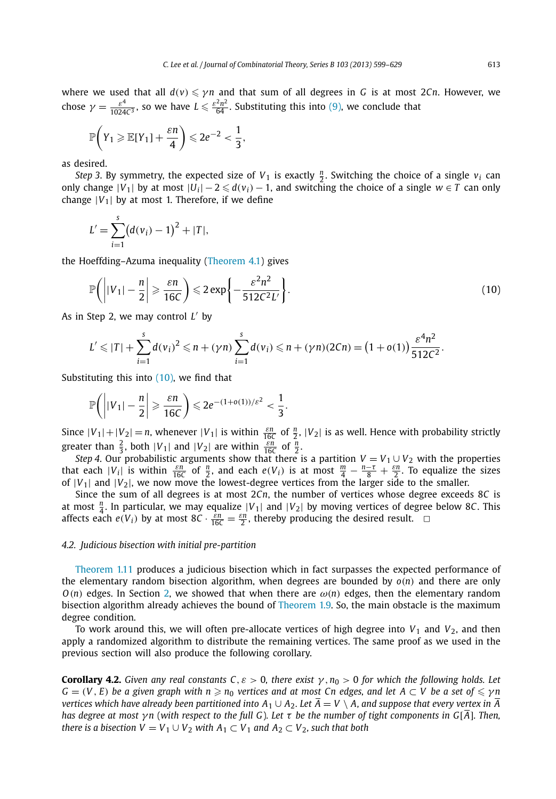<span id="page-14-0"></span>where we used that all  $d(v) \le \gamma n$  and that sum of all degrees in *G* is at most 2*Cn*. However, we chose  $\gamma = \frac{\varepsilon^4}{1024c^3}$ , so we have  $L \leq \frac{\varepsilon^2 n^2}{64}$ . Substituting this into [\(9\),](#page-13-0) we conclude that

$$
\mathbb{P}\bigg(Y_1\geqslant \mathbb{E}[Y_1]+\frac{\epsilon n}{4}\bigg)\leqslant 2e^{-2}<\frac{1}{3},
$$

as desired.

*Step 3.* By symmetry, the expected size of  $V_1$  is exactly  $\frac{n}{2}$ . Switching the choice of a single  $v_i$  can only change  $|V_1|$  by at most  $|U_i| - 2 \leq d(v_i) - 1$ , and switching the choice of a single  $w \in T$  can only change  $|V_1|$  by at most 1. Therefore, if we define

$$
L' = \sum_{i=1}^{s} (d(v_i) - 1)^2 + |T|,
$$

the Hoeffding–Azuma inequality [\(Theorem 4.1\)](#page-11-0) gives

$$
\mathbb{P}\left(\left||V_1| - \frac{n}{2}\right| \geqslant \frac{\varepsilon n}{16C}\right) \leqslant 2\exp\left\{-\frac{\varepsilon^2 n^2}{512C^2L'}\right\}.
$$
\n(10)

As in Step 2, we may control L' by

$$
L' \leq |T| + \sum_{i=1}^{s} d(v_i)^2 \leq n + (\gamma n) \sum_{i=1}^{s} d(v_i) \leq n + (\gamma n)(2Cn) = (1 + o(1)) \frac{\varepsilon^4 n^2}{512C^2}.
$$

Substituting this into  $(10)$ , we find that

$$
\mathbb{P}\bigg(\bigg||V_1|-\frac{n}{2}\bigg|\geqslant \frac{\varepsilon n}{16C}\bigg)\leqslant 2e^{-(1+o(1))/\varepsilon^2}<\frac{1}{3}.
$$

Since  $|V_1| + |V_2| = n$ , whenever  $|V_1|$  is within  $\frac{\varepsilon n}{16C}$  of  $\frac{n}{2}$ ,  $|V_2|$  is as well. Hence with probability strictly greater than  $\frac{2}{3}$ , both  $|V_1|$  and  $|V_2|$  are within  $\frac{\varepsilon n}{16C}$  of  $\frac{n}{2}$ .

*Step 4*. Our probabilistic arguments show that there is a partition  $V = V_1 \cup V_2$  with the properties that each  $|V_i|$  is within  $\frac{\varepsilon n}{16C}$  of  $\frac{n}{2}$ , and each  $e(V_i)$  is at most  $\frac{m}{4} - \frac{n-\tau}{8} + \frac{\varepsilon n}{2}$ . To equalize the sizes of  $|V_1|$  and  $|V_2|$ , we now move the lowest-degree vertices from the larger side to the smaller.

Since the sum of all degrees is at most 2*Cn*, the number of vertices whose degree exceeds 8*C* is at most  $\frac{n}{4}$ . In particular, we may equalize  $|V_1|$  and  $|V_2|$  by moving vertices of degree below 8*C*. This affects each  $e(V_i)$  by at most  $8C \cdot \frac{\varepsilon n}{16C} = \frac{\varepsilon n}{2}$ , thereby producing the desired result.  $\Box$ 

### *4.2. Judicious bisection with initial pre-partition*

[Theorem 1.11](#page-4-0) produces a judicious bisection which in fact surpasses the expected performance of the elementary random bisection algorithm, when degrees are bounded by *o(n)* and there are only  $O(n)$  edges. In Section [2,](#page-5-0) we showed that when there are  $\omega(n)$  edges, then the elementary random bisection algorithm already achieves the bound of [Theorem 1.9.](#page-3-0) So, the main obstacle is the maximum degree condition.

To work around this, we will often pre-allocate vertices of high degree into  $V_1$  and  $V_2$ , and then apply a randomized algorithm to distribute the remaining vertices. The same proof as we used in the previous section will also produce the following corollary.

**Corollary 4.2.** *Given any real constants C*,  $\varepsilon > 0$ , *there exist*  $\gamma$ ,  $n_0 > 0$  *for which the following holds. Let*  $G = (V, E)$  *be a given graph with n*  $\geqslant n_0$  *vertices and at most Cn edges, and let*  $A \subset V$  *be a set of*  $\leqslant \gamma n$ *vertices which have already been partitioned into*  $A_1 \cup A_2$ *. Let*  $\overline{A} = V \setminus A$ , and suppose that every vertex in  $\overline{A}$ *has degree at most γ n* (*with respect to the full G*)*. Let τ be the number of tight components in G*[*A*]*. Then, there is a bisection*  $V = V_1 \cup V_2$  *with*  $A_1 \subset V_1$  *and*  $A_2 \subset V_2$ *, such that both*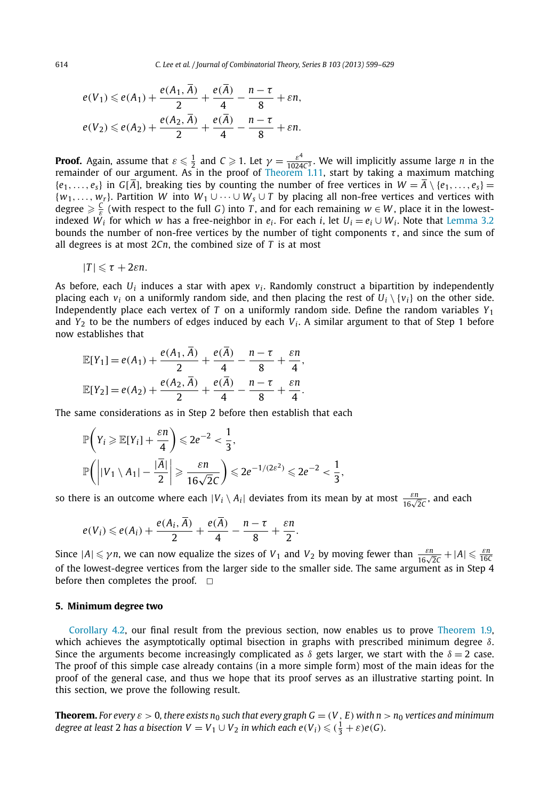<span id="page-15-0"></span>614 *C. Lee et al. / Journal of Combinatorial Theory, Series B 103 (2013) 599–629*

$$
e(V_1) \leq e(A_1) + \frac{e(A_1, A)}{2} + \frac{e(A)}{4} - \frac{n - \tau}{8} + \varepsilon n,
$$
  

$$
e(V_2) \leq e(A_2) + \frac{e(A_2, \overline{A})}{2} + \frac{e(\overline{A})}{4} - \frac{n - \tau}{8} + \varepsilon n.
$$

**Proof.** Again, assume that  $\varepsilon \leq \frac{1}{2}$  and  $C \geq 1$ . Let  $\gamma = \frac{\varepsilon^4}{1024C^3}$ . We will implicitly assume large *n* in the remainder of our argument. As in the proof of [Theorem 1.11,](#page-4-0) start by taking a maximum matchi  ${e_1, \ldots, e_s}$  in  $G[\overline{A}]$ , breaking ties by counting the number of free vertices in  $W = \overline{A} \setminus {e_1, \ldots, e_s}$  = {*w*1*,..., wr*}. Partition *W* into *W*<sup>1</sup> ∪···∪ *Ws* ∪ *T* by placing all non-free vertices and vertices with degree  $\geq \frac{C}{\epsilon}$  (with respect to the full *G*) into *T*, and for each remaining  $w \in W$ , place it in the lowestindexed  $W_i$  for which *w* has a free-neighbor in  $e_i$ . For each *i*, let  $U_i = e_i \cup W_i$ . Note that [Lemma 3.2](#page-8-0) bounds the number of non-free vertices by the number of tight components  $\tau$ , and since the sum of all degrees is at most 2*Cn*, the combined size of *T* is at most

$$
|T| \leq \tau + 2\varepsilon n.
$$

As before, each  $U_i$  induces a star with apex  $v_i$ . Randomly construct a bipartition by independently placing each  $v_i$  on a uniformly random side, and then placing the rest of  $U_i \setminus \{v_i\}$  on the other side. Independently place each vertex of *T* on a uniformly random side. Define the random variables *Y*<sup>1</sup> and  $Y_2$  to be the numbers of edges induced by each  $V_i$ . A similar argument to that of Step 1 before now establishes that

$$
\mathbb{E}[Y_1] = e(A_1) + \frac{e(A_1, \overline{A})}{2} + \frac{e(\overline{A})}{4} - \frac{n - \tau}{8} + \frac{\varepsilon n}{4},
$$
  

$$
\mathbb{E}[Y_2] = e(A_2) + \frac{e(A_2, \overline{A})}{2} + \frac{e(\overline{A})}{4} - \frac{n - \tau}{8} + \frac{\varepsilon n}{4}.
$$

The same considerations as in Step 2 before then establish that each

$$
\mathbb{P}\left(Y_i \ge \mathbb{E}[Y_i] + \frac{\varepsilon n}{4}\right) \le 2e^{-2} < \frac{1}{3},
$$
\n
$$
\mathbb{P}\left(\left| |V_1 \setminus A_1| - \frac{|\overline{A}|}{2}\right| \ge \frac{\varepsilon n}{16\sqrt{2}C}\right) \le 2e^{-1/(2\varepsilon^2)} \le 2e^{-2} < \frac{1}{3},
$$

so there is an outcome where each  $|V_i \setminus A_i|$  deviates from its mean by at most  $\frac{\varepsilon n}{16\sqrt{2}C}$ , and each

$$
e(V_i) \leqslant e(A_i) + \frac{e(A_i, \overline{A})}{2} + \frac{e(\overline{A})}{4} - \frac{n-\tau}{8} + \frac{\varepsilon n}{2}.
$$

Since  $|A| \le \gamma n$ , we can now equalize the sizes of  $V_1$  and  $V_2$  by moving fewer than  $\frac{\varepsilon n}{16\sqrt{2c}} + |A| \le \frac{\varepsilon n}{16C}$ of the lowest-degree vertices from the larger side to the smaller side. The same argument as in Step 4 before then completes the proof.  $\square$ 

#### **5. Minimum degree two**

[Corollary 4.2,](#page-14-0) our final result from the previous section, now enables us to prove [Theorem 1.9,](#page-3-0) which achieves the asymptotically optimal bisection in graphs with prescribed minimum degree *δ*. Since the arguments become increasingly complicated as  $\delta$  gets larger, we start with the  $\delta = 2$  case. The proof of this simple case already contains (in a more simple form) most of the main ideas for the proof of the general case, and thus we hope that its proof serves as an illustrative starting point. In this section, we prove the following result.

**Theorem.** For every  $\varepsilon > 0$ , there exists  $n_0$  such that every graph  $G = (V, E)$  with  $n > n_0$  vertices and minimum *degree at least* 2 *has a bisection*  $V = V_1 \cup V_2$  *in which each e* $(V_i) \leqslant (\frac{1}{3} + \varepsilon)e(G)$ *.*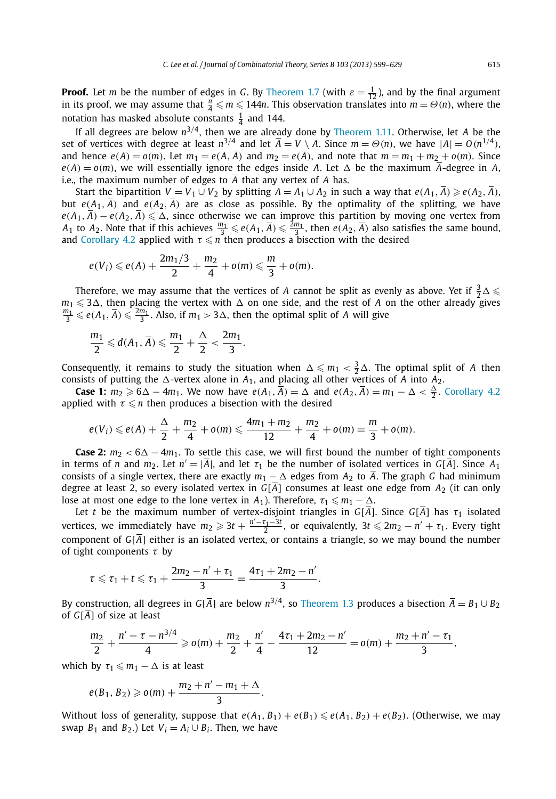**Proof.** Let *m* be the number of edges in *G*. By [Theorem 1.7](#page-3-0) (with  $\varepsilon = \frac{1}{12}$ ), and by the final argument in its proof, we may assume that  $\frac{n}{4} \leq m \leq 144n$ . This observation translates into  $m = \Theta(n)$ , where the notation has masked absolute constants  $\frac{1}{4}$  and 144.

If all degrees are below *n*3*/*4, then we are already done by [Theorem 1.11.](#page-4-0) Otherwise, let *A* be the set of vertices with degree at least  $n^{3/4}$  and let  $\overline{A} = V \setminus A$ . Since  $m = \Theta(n)$ , we have  $|A| = O(n^{1/4})$ , and hence  $e(A) = o(m)$ . Let  $m_1 = e(A, \overline{A})$  and  $m_2 = e(\overline{A})$ , and note that  $m = m_1 + m_2 + o(m)$ . Since  $e(A) = o(m)$ , we will essentially ignore the edges inside *A*. Let  $\Delta$  be the maximum  $\overline{A}$ -degree in *A*, i.e., the maximum number of edges to  $\overline{A}$  that any vertex of A has.

Start the bipartition  $V = V_1 \cup V_2$  by splitting  $A = A_1 \cup A_2$  in such a way that  $e(A_1, A) \ge e(A_2, A)$ , but  $e(A_1, \overline{A})$  and  $e(A_2, \overline{A})$  are as close as possible. By the optimality of the splitting, we have  $e(A_1, \overline{A}) - e(A_2, \overline{A}) \leq \Delta$ , since otherwise we can improve this partition by moving one vertex from  $A_1$  to  $A_2$ . Note that if this achieves  $\frac{m_1}{3} \leqslant e(A_1, \overline{A}) \leqslant \frac{2m_1}{3}$ , then  $e(A_2, \overline{A})$  also satisfies the same bound, and [Corollary 4.2](#page-14-0) applied with  $\tau \leq n$  then produces a bisection with the desired

$$
e(V_i) \leq e(A) + \frac{2m_1/3}{2} + \frac{m_2}{4} + o(m) \leq \frac{m}{3} + o(m).
$$

Therefore, we may assume that the vertices of *A* cannot be split as evenly as above. Yet if  $\frac{3}{2} \Delta \leq$  $m_1 \leq 3\Delta$ , then placing the vertex with  $\Delta$  on one side, and the rest of *A* on the other already gives  $\frac{n_1}{3} \leqslant e(A_1, \overline{A}) \leqslant \frac{2m_1}{3}$ . Also, if  $m_1 > 3\Delta$ , then the optimal split of *A* will give

$$
\frac{m_1}{2} \leqslant d(A_1, \overline{A}) \leqslant \frac{m_1}{2} + \frac{\Delta}{2} < \frac{2m_1}{3}.
$$

Consequently, it remains to study the situation when  $\Delta \leq m_1 < \frac{3}{2}\Delta$ . The optimal split of *A* then consists of putting the  $\Delta$ -vertex alone in  $A_1$ , and placing all other vertices of A into  $A_2$ .

**Case 1:**  $m_2 \ge 6\Delta - 4m_1$ . We now have  $e(A_1, \overline{A}) = \Delta$  and  $e(A_2, \overline{A}) = m_1 - \Delta < \frac{\Delta}{2}$ . [Corollary 4.2](#page-14-0) applied with  $\tau \leq n$  then produces a bisection with the desired

$$
e(V_i) \leqslant e(A) + \frac{\Delta}{2} + \frac{m_2}{4} + o(m) \leqslant \frac{4m_1 + m_2}{12} + \frac{m_2}{4} + o(m) = \frac{m}{3} + o(m).
$$

**Case 2:**  $m_2 < 6\Delta - 4m_1$ . To settle this case, we will first bound the number of tight components in terms of *n* and *m*<sub>2</sub>. Let  $n' = |\overline{A}|$ , and let  $\tau_1$  be the number of isolated vertices in  $G[\overline{A}]$ . Since  $A_1$ consists of a single vertex, there are exactly  $m_1 - \Delta$  edges from  $A_2$  to  $\overline{A}$ . The graph *G* had minimum degree at least 2, so every isolated vertex in  $G[\overline{A}]$  consumes at least one edge from  $A_2$  (it can only lose at most one edge to the lone vertex in *A*<sub>1</sub>). Therefore,  $\tau_1 \leq m_1 - \Delta$ .

Let *t* be the maximum number of vertex-disjoint triangles in  $G[\overline{A}]$ . Since  $G[\overline{A}]$  has  $\tau_1$  isolated vertices, we immediately have  $m_2 \geqslant 3t + \frac{n'-\tau_1-3t}{2}$ , or equivalently,  $3t \leqslant 2m_2-n'+\tau_1$ . Every tight component of  $G[\overline{A}]$  either is an isolated vertex, or contains a triangle, so we may bound the number of tight components *τ* by

$$
\tau \leqslant \tau_1 + t \leqslant \tau_1 + \frac{2m_2 - n' + \tau_1}{3} = \frac{4\tau_1 + 2m_2 - n'}{3}.
$$

By construction, all degrees in *G*[ $\overline{A}$ ] are below  $n^{3/4}$ , so [Theorem 1.3](#page-2-0) produces a bisection  $\overline{A} = B_1 \cup B_2$ of *G*[*A*] of size at least

$$
\frac{m_2}{2}+\frac{n'-\tau-n^{3/4}}{4}\geqslant o(m)+\frac{m_2}{2}+\frac{n'}{4}-\frac{4\tau_1+2m_2-n'}{12}=o(m)+\frac{m_2+n'-\tau_1}{3},
$$

which by  $\tau_1 \leq m_1 - \Delta$  is at least

$$
e(B_1, B_2) \geqslant o(m) + \frac{m_2 + n' - m_1 + \Delta}{3}.
$$

Without loss of generality, suppose that  $e(A_1, B_1) + e(B_1) \le e(A_1, B_2) + e(B_2)$ . (Otherwise, we may swap  $B_1$  and  $B_2$ .) Let  $V_i = A_i \cup B_i$ . Then, we have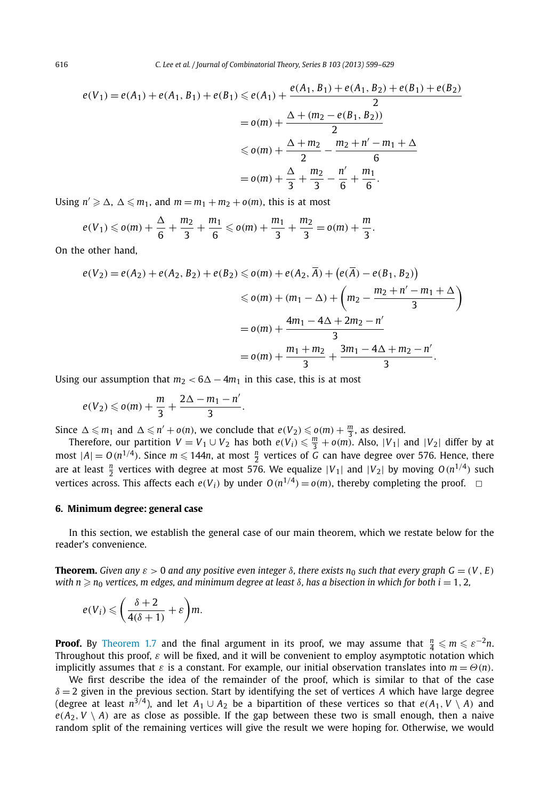<span id="page-17-0"></span>
$$
e(V_1) = e(A_1) + e(A_1, B_1) + e(B_1) \le e(A_1) + \frac{e(A_1, B_1) + e(A_1, B_2) + e(B_1) + e(B_2)}{2}
$$
  
=  $o(m) + \frac{\Delta + (m_2 - e(B_1, B_2))}{2}$   
 $\le o(m) + \frac{\Delta + m_2}{2} - \frac{m_2 + n' - m_1 + \Delta}{6}$   
=  $o(m) + \frac{\Delta}{3} + \frac{m_2}{3} - \frac{n'}{6} + \frac{m_1}{6}$ .

Using  $n' \geq \Delta$ ,  $\Delta \leq m_1$ , and  $m = m_1 + m_2 + o(m)$ , this is at most

$$
e(V_1) \leqslant o(m) + \frac{\Delta}{6} + \frac{m_2}{3} + \frac{m_1}{6} \leqslant o(m) + \frac{m_1}{3} + \frac{m_2}{3} = o(m) + \frac{m_1}{3}.
$$

On the other hand,

$$
e(V_2) = e(A_2) + e(A_2, B_2) + e(B_2) \leqslant o(m) + e(A_2, \overline{A}) + (e(\overline{A}) - e(B_1, B_2))
$$
  
\n
$$
\leqslant o(m) + (m_1 - \Delta) + \left(m_2 - \frac{m_2 + n' - m_1 + \Delta}{3}\right)
$$
  
\n
$$
= o(m) + \frac{4m_1 - 4\Delta + 2m_2 - n'}{3}
$$
  
\n
$$
= o(m) + \frac{m_1 + m_2}{3} + \frac{3m_1 - 4\Delta + m_2 - n'}{3}.
$$

Using our assumption that  $m_2 < 6\Delta - 4m_1$  in this case, this is at most

$$
e(V_2)\leqslant o(m)+\frac{m}{3}+\frac{2\Delta-m_1-n'}{3}.
$$

Since  $\Delta \leq m_1$  and  $\Delta \leq n' + o(n)$ , we conclude that  $e(V_2) \leq o(m) + \frac{m}{3}$ , as desired.

Therefore, our partition  $V = V_1 \cup V_2$  has both  $e(V_i) \leq \frac{m}{3} + o(m)$ . Also,  $|V_1|$  and  $|V_2|$  differ by at most  $|A| = O(n^{1/4})$ . Since  $m \leq 144n$ , at most  $\frac{n}{2}$  vertices of *G* can have degree over 576. Hence, there are at least  $\frac{n}{2}$  vertices with degree at most 576. We equalize  $|V_1|$  and  $|V_2|$  by moving  $O(n^{1/4})$  such vertices across. This affects each  $e(V_i)$  by under  $O(n^{1/4}) = o(m)$ , thereby completing the proof.  $\Box$ 

#### **6. Minimum degree: general case**

In this section, we establish the general case of our main theorem, which we restate below for the reader's convenience.

**Theorem.** Given any  $\varepsilon > 0$  and any positive even integer  $\delta$ , there exists n<sub>0</sub> such that every graph  $G = (V, E)$  $w$ ith  $n \geqslant n_0$  vertices,  $m$  edges, and minimum degree at least  $\delta$ , has a bisection in which for both  $i=1,2,$ 

$$
e(V_i) \leqslant \left(\frac{\delta+2}{4(\delta+1)}+\varepsilon\right)m.
$$

**Proof.** By [Theorem 1.7](#page-3-0) and the final argument in its proof, we may assume that  $\frac{n}{4} \leq m \leq \varepsilon^{-2}n$ . Throughout this proof, *ε* will be fixed, and it will be convenient to employ asymptotic notation which implicitly assumes that  $\varepsilon$  is a constant. For example, our initial observation translates into  $m = \Theta(n)$ .

We first describe the idea of the remainder of the proof, which is similar to that of the case  $\delta = 2$  given in the previous section. Start by identifying the set of vertices *A* which have large degree (degree at least  $n^{3/4}$ ), and let  $A_1 \cup A_2$  be a bipartition of these vertices so that  $e(A_1, V \setminus A)$  and  $e(A_2, V \setminus A)$  are as close as possible. If the gap between these two is small enough, then a naive random split of the remaining vertices will give the result we were hoping for. Otherwise, we would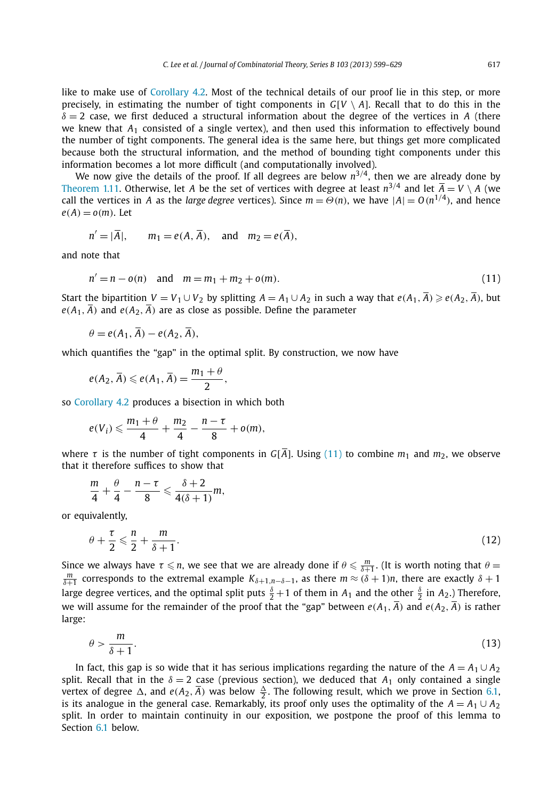<span id="page-18-0"></span>like to make use of [Corollary 4.2.](#page-14-0) Most of the technical details of our proof lie in this step, or more precisely, in estimating the number of tight components in  $G[V \setminus A]$ . Recall that to do this in the  $\delta = 2$  case, we first deduced a structural information about the degree of the vertices in *A* (there we knew that *A*<sup>1</sup> consisted of a single vertex), and then used this information to effectively bound the number of tight components. The general idea is the same here, but things get more complicated because both the structural information, and the method of bounding tight components under this information becomes a lot more difficult (and computationally involved).

We now give the details of the proof. If all degrees are below  $n^{3/4}$ , then we are already done by [Theorem 1.11.](#page-4-0) Otherwise, let *A* be the set of vertices with degree at least  $n^{3/4}$  and let  $\overline{A} = V \setminus A$  (we call the vertices in *A* as the *large degree* vertices). Since  $m = \Theta(n)$ , we have  $|A| = O(n^{1/4})$ , and hence  $e(A) = o(m)$ . Let

$$
n' = |\overline{A}|, \qquad m_1 = e(A, \overline{A}), \quad \text{and} \quad m_2 = e(\overline{A}),
$$

and note that

$$
n' = n - o(n) \text{ and } m = m_1 + m_2 + o(m). \tag{11}
$$

Start the bipartition  $V = V_1 \cup V_2$  by splitting  $A = A_1 \cup A_2$  in such a way that  $e(A_1, A) \geqslant e(A_2, A)$ , but  $e(A_1, \overline{A})$  and  $e(A_2, \overline{A})$  are as close as possible. Define the parameter

$$
\theta = e(A_1, \overline{A}) - e(A_2, \overline{A}),
$$

which quantifies the "gap" in the optimal split. By construction, we now have

$$
e(A_2, \overline{A}) \leqslant e(A_1, \overline{A}) = \frac{m_1 + \theta}{2},
$$

so [Corollary 4.2](#page-14-0) produces a bisection in which both

$$
e(V_i)\leqslant \frac{m_1+\theta}{4}+\frac{m_2}{4}-\frac{n-\tau}{8}+o(m),
$$

where  $\tau$  is the number of tight components in  $G[\overline{A}]$ . Using (11) to combine  $m_1$  and  $m_2$ , we observe that it therefore suffices to show that

$$
\frac{m}{4}+\frac{\theta}{4}-\frac{n-\tau}{8}\leqslant \frac{\delta+2}{4(\delta+1)}m,
$$

or equivalently,

$$
\theta + \frac{\tau}{2} \leqslant \frac{n}{2} + \frac{m}{\delta + 1}.\tag{12}
$$

Since we always have  $\tau \le n$ , we see that we are already done if  $\theta \le \frac{m}{\delta+1}$ . (It is worth noting that  $\theta =$  *m*  $\frac{m}{\delta+1}$  corresponds to the extremal example  $K_{\delta+1,n-\delta-1}$ , as there  $m \approx (\delta+1)n$ , there are exactly  $\delta+1$ large degree vertices, and the optimal split puts  $\frac{\delta}{2}+1$  of them in  $A_1$  and the other  $\frac{\delta}{2}$  in  $A_2$ .) Therefore, we will assume for the remainder of the proof that the "gap" between  $e(A_1, \overline{A})$  and  $e(A_2, \overline{A})$  is rather large:

$$
\theta > \frac{m}{\delta + 1}.\tag{13}
$$

In fact, this gap is so wide that it has serious implications regarding the nature of the  $A = A_1 \cup A_2$ split. Recall that in the  $\delta = 2$  case (previous section), we deduced that  $A_1$  only contained a single vertex of degree  $\Delta$ , and  $e(A_2, \overline{A})$  was below  $\frac{\Delta}{2}$ . The following result, which we prove in Section [6.1,](#page-21-0) is its analogue in the general case. Remarkably, its proof only uses the optimality of the  $A = A_1 \cup A_2$ split. In order to maintain continuity in our exposition, we postpone the proof of this lemma to Section [6.1](#page-21-0) below.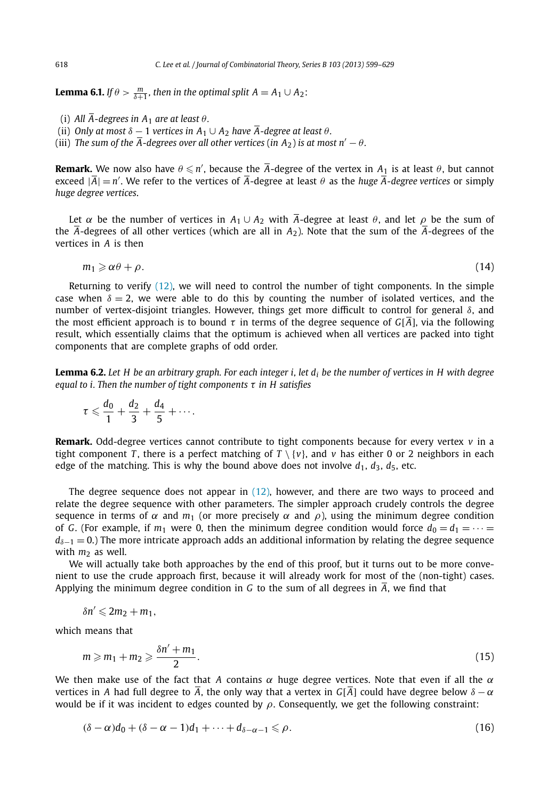**Lemma 6.1.** *If*  $\theta > \frac{m}{\delta+1}$ , then in the optimal split  $A = A_1 \cup A_2$ :

- (i) All  $\overline{A}$ -degrees in  $A_1$  are at least  $\theta$ .
- (ii) *Only at most*  $\delta 1$  *vertices in*  $A_1 \cup A_2$  *have*  $\overline{A}$ -degree at least  $\theta$ .
- (iii) *The sum of the*  $\overline{A}$ *-degrees over all other vertices* (in  $A_2$ ) is at most  $n' \theta$ .

**Remark.** We now also have  $\theta \leqslant n'$ , because the  $\overline{A}$ -degree of the vertex in  $A_1$  is at least  $\theta$ , but cannot exceed  $|\overline{A}| = n'$ . We refer to the vertices of  $\overline{A}$ -degree at least  $\theta$  as the *huge*  $\overline{A}$ -degree vertices or simply *huge degree vertices*.

Let  $\alpha$  be the number of vertices in  $A_1 \cup A_2$  with  $\overline{A}$ -degree at least  $\theta$ , and let  $\rho$  be the sum of the  $\overline{A}$ -degrees of all other vertices (which are all in *A*<sub>2</sub>). Note that the sum of the  $\overline{A}$ -degrees of the vertices in *A* is then

$$
m_1 \geqslant \alpha \theta + \rho. \tag{14}
$$

Returning to verify [\(12\),](#page-18-0) we will need to control the number of tight components. In the simple case when  $\delta = 2$ , we were able to do this by counting the number of isolated vertices, and the number of vertex-disjoint triangles. However, things get more difficult to control for general *δ*, and the most efficient approach is to bound *τ* in terms of the degree sequence of  $G[*A*]$ , via the following result, which essentially claims that the optimum is achieved when all vertices are packed into tight components that are complete graphs of odd order.

**Lemma 6.2.** *Let H be an arbitrary graph. For each integer i, let di be the number of vertices in H with degree equal to i. Then the number of tight components τ in H satisfies*

$$
\tau \leqslant \frac{d_0}{1} + \frac{d_2}{3} + \frac{d_4}{5} + \cdots.
$$

**Remark.** Odd-degree vertices cannot contribute to tight components because for every vertex *v* in a tight component *T*, there is a perfect matching of  $T \setminus \{v\}$ , and *v* has either 0 or 2 neighbors in each edge of the matching. This is why the bound above does not involve  $d_1$ ,  $d_3$ ,  $d_5$ , etc.

The degree sequence does not appear in [\(12\),](#page-18-0) however, and there are two ways to proceed and relate the degree sequence with other parameters. The simpler approach crudely controls the degree sequence in terms of  $\alpha$  and  $m_1$  (or more precisely  $\alpha$  and  $\rho$ ), using the minimum degree condition of *G*. (For example, if  $m_1$  were 0, then the minimum degree condition would force  $d_0 = d_1 = \cdots =$ *d*<sup> $δ$ −1</sup> = 0.) The more intricate approach adds an additional information by relating the degree sequence with  $m_2$  as well.

We will actually take both approaches by the end of this proof, but it turns out to be more convenient to use the crude approach first, because it will already work for most of the (non-tight) cases. Applying the minimum degree condition in *G* to the sum of all degrees in *A*, we find that

$$
\delta n' \leqslant 2m_2+m_1,
$$

which means that

$$
m \geqslant m_1 + m_2 \geqslant \frac{\delta n' + m_1}{2}.\tag{15}
$$

We then make use of the fact that *A* contains *α* huge degree vertices. Note that even if all the *α* vertices in *A* had full degree to  $\overline{A}$ , the only way that a vertex in  $G[\overline{A}]$  could have degree below  $\delta - \alpha$ would be if it was incident to edges counted by *ρ*. Consequently, we get the following constraint:

$$
(\delta - \alpha)d_0 + (\delta - \alpha - 1)d_1 + \dots + d_{\delta - \alpha - 1} \leq \rho.
$$
\n(16)

<span id="page-19-0"></span>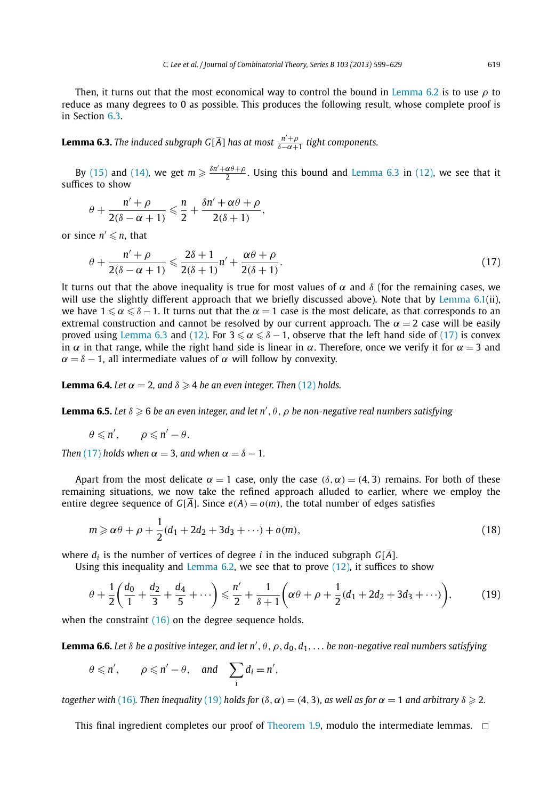<span id="page-20-0"></span>Then, it turns out that the most economical way to control the bound in [Lemma 6.2](#page-19-0) is to use *ρ* to reduce as many degrees to 0 as possible. This produces the following result, whose complete proof is in Section [6.3.](#page-22-0)

**Lemma 6.3.** *The induced subgraph G*[ $\overline{A}$ ] *has at most*  $\frac{n'+\rho}{\delta-\alpha+1}$  *tight components.* 

By [\(15\)](#page-19-0) and [\(14\),](#page-19-0) we get  $m \ge \frac{\delta n' + \alpha \theta + \rho}{2}$ . Using this bound and Lemma 6.3 in [\(12\),](#page-18-0) we see that it suffices to show

$$
\theta + \frac{n' + \rho}{2(\delta - \alpha + 1)} \leq \frac{n}{2} + \frac{\delta n' + \alpha \theta + \rho}{2(\delta + 1)},
$$

or since  $n' \leq n$ , that

$$
\theta + \frac{n' + \rho}{2(\delta - \alpha + 1)} \leqslant \frac{2\delta + 1}{2(\delta + 1)}n' + \frac{\alpha\theta + \rho}{2(\delta + 1)}.\tag{17}
$$

It turns out that the above inequality is true for most values of  $\alpha$  and  $\delta$  (for the remaining cases, we will use the slightly different approach that we briefly discussed above). Note that by [Lemma 6.1\(](#page-19-0)ii), we have  $1 \le \alpha \le \delta - 1$ . It turns out that the  $\alpha = 1$  case is the most delicate, as that corresponds to an extremal construction and cannot be resolved by our current approach. The  $\alpha = 2$  case will be easily proved using Lemma 6.3 and [\(12\).](#page-18-0) For  $3 \le \alpha \le \delta - 1$ , observe that the left hand side of (17) is convex in  $\alpha$  in that range, while the right hand side is linear in  $\alpha$ . Therefore, once we verify it for  $\alpha = 3$  and  $\alpha = \delta - 1$ , all intermediate values of  $\alpha$  will follow by convexity.

**Lemma 6.4.** Let  $\alpha = 2$ , and  $\delta \ge 4$  be an even integer. Then [\(12\)](#page-18-0) holds.

**Lemma 6.5.** Let  $\delta \ge 6$  be an even integer, and let n',  $\theta$ ,  $\rho$  be non-negative real numbers satisfying

$$
\theta \leqslant n', \qquad \rho \leqslant n' - \theta.
$$

*Then* (17) *holds when*  $\alpha = 3$ *, and when*  $\alpha = \delta - 1$ *.* 

Apart from the most delicate  $\alpha = 1$  case, only the case  $(\delta, \alpha) = (4, 3)$  remains. For both of these remaining situations, we now take the refined approach alluded to earlier, where we employ the entire degree sequence of  $G[\overline{A}]$ . Since  $e(A) = o(m)$ , the total number of edges satisfies

$$
m \ge \alpha \theta + \rho + \frac{1}{2}(d_1 + 2d_2 + 3d_3 + \cdots) + o(m),
$$
\n(18)

where  $d_i$  is the number of vertices of degree *i* in the induced subgraph  $G[\overline{A}]$ .

Using this inequality and Lemma  $6.2$ , we see that to prove  $(12)$ , it suffices to show

$$
\theta + \frac{1}{2} \left( \frac{d_0}{1} + \frac{d_2}{3} + \frac{d_4}{5} + \cdots \right) \leq \frac{n'}{2} + \frac{1}{\delta + 1} \left( \alpha \theta + \rho + \frac{1}{2} (d_1 + 2d_2 + 3d_3 + \cdots) \right),\tag{19}
$$

when the constraint [\(16\)](#page-19-0) on the degree sequence holds.

**Lemma 6.6.** Let δ be a positive integer, and let n' , θ , ρ , d $_0$  , d<sub>1</sub> ,  $\ldots$  be non-negative real numbers satisfying

$$
\theta \leq n', \quad \rho \leq n' - \theta, \quad \text{and} \quad \sum_{i} d_i = n',
$$

*together with* [\(16\)](#page-19-0). Then inequality (19) holds for ( $\delta$ ,  $\alpha$ ) = (4, 3), as well as for  $\alpha = 1$  and arbitrary  $\delta \geqslant 2$ .

This final ingredient completes our proof of [Theorem 1.9,](#page-3-0) modulo the intermediate lemmas.  $\Box$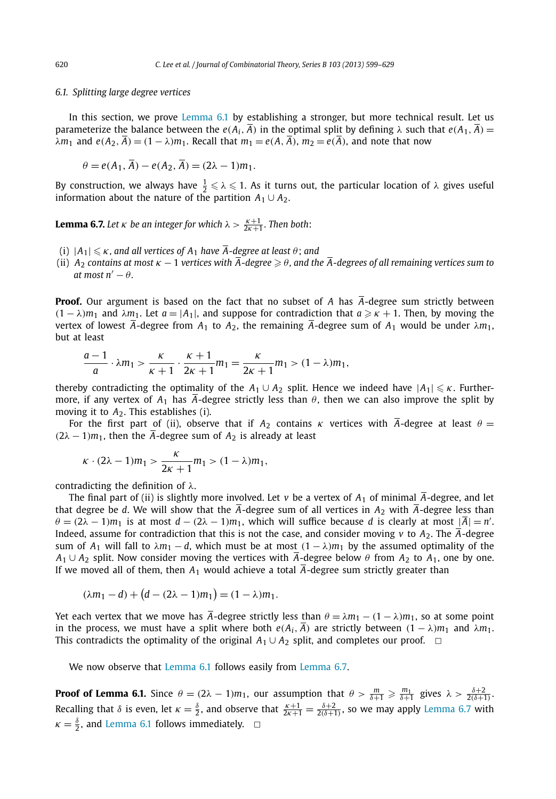#### <span id="page-21-0"></span>*6.1. Splitting large degree vertices*

In this section, we prove [Lemma 6.1](#page-19-0) by establishing a stronger, but more technical result. Let us parameterize the balance between the  $e(A_i, \overline{A})$  in the optimal split by defining  $\lambda$  such that  $e(A_1, \overline{A}) =$  $\lambda m_1$  and  $e(A_2, \overline{A}) = (1 - \lambda)m_1$ . Recall that  $m_1 = e(A, \overline{A})$ ,  $m_2 = e(\overline{A})$ , and note that now

$$
\theta = e(A_1, A) - e(A_2, A) = (2\lambda - 1)m_1.
$$

By construction, we always have  $\frac{1}{2} \le \lambda \le 1$ . As it turns out, the particular location of  $\lambda$  gives useful information about the nature of the partition  $A_1 \cup A_2$ .

**Lemma 6.7.** Let  $\kappa$  be an integer for which  $\lambda > \frac{\kappa+1}{2\kappa+1}$ . Then both:

- (i)  $|A_1| \le \kappa$ , and all vertices of  $A_1$  have  $\overline{A}$ -degree at least  $\theta$ ; and
- (ii) *A*<sup>2</sup> *contains at most κ* − 1 *vertices with A-degree θ , and the A-degrees of all remaining vertices sum to*  $at$  most  $n' - \theta$ .

**Proof.** Our argument is based on the fact that no subset of *A* has *A*-degree sum strictly between *(*1 − *λ*) $m_1$  and *λ* $m_1$ . Let  $a = |A_1|$ , and suppose for contradiction that  $a \geq \kappa + 1$ . Then, by moving the vertex of lowest  $\overline{A}$ -degree from  $A_1$  to  $A_2$ , the remaining  $\overline{A}$ -degree sum of  $A_1$  would be under  $\lambda m_1$ , but at least

$$
\frac{a-1}{a}\cdot \lambda m_1 > \frac{\kappa}{\kappa+1}\cdot \frac{\kappa+1}{2\kappa+1}m_1 = \frac{\kappa}{2\kappa+1}m_1 > (1-\lambda)m_1,
$$

thereby contradicting the optimality of the  $A_1 \cup A_2$  split. Hence we indeed have  $|A_1| \leq \kappa$ . Furthermore, if any vertex of  $A_1$  has  $\overline{A}$ -degree strictly less than  $\theta$ , then we can also improve the split by moving it to *A*2. This establishes (i).

For the first part of (ii), observe that if  $A_2$  contains  $\kappa$  vertices with  $\overline{A}$ -degree at least  $\theta =$  $(2\lambda - 1)m_1$ , then the *A*-degree sum of *A*<sub>2</sub> is already at least

$$
\kappa\cdot(2\lambda-1)m_1>\frac{\kappa}{2\kappa+1}m_1>(1-\lambda)m_1,
$$

contradicting the definition of *λ*.

The final part of (ii) is slightly more involved. Let *v* be a vertex of  $A_1$  of minimal  $\overline{A}$ -degree, and let that degree be *d*. We will show that the  $\overline{A}$ -degree sum of all vertices in  $A_2$  with  $\overline{A}$ -degree less than  $\theta = (2\lambda - 1)m_1$  is at most  $d - (2\lambda - 1)m_1$ , which will suffice because *d* is clearly at most  $|\overline{A}| = n'$ . Indeed, assume for contradiction that this is not the case, and consider moving *v* to  $A_2$ . The  $\overline{A}$ -degree sum of  $A_1$  will fall to  $\lambda m_1 - d$ , which must be at most  $(1 - \lambda)m_1$  by the assumed optimality of the  $A_1 \cup A_2$  split. Now consider moving the vertices with  $\overline{A}$ -degree below  $\theta$  from  $A_2$  to  $A_1$ , one by one. If we moved all of them, then  $A_1$  would achieve a total  $\overline{A}$ -degree sum strictly greater than

$$
(\lambda m_1 - d) + (d - (2\lambda - 1)m_1) = (1 - \lambda)m_1.
$$

Yet each vertex that we move has  $\overline{A}$ -degree strictly less than  $\theta = \lambda m_1 - (1 - \lambda)m_1$ , so at some point in the process, we must have a split where both  $e(A_i, \overline{A})$  are strictly between  $(1 - \lambda)m_1$  and  $\lambda m_1$ . This contradicts the optimality of the original  $A_1 \cup A_2$  split, and completes our proof.  $\Box$ 

We now observe that [Lemma 6.1](#page-19-0) follows easily from Lemma 6.7.

**Proof of Lemma 6.1.** Since  $\theta = (2\lambda - 1)m_1$ , our assumption that  $\theta > \frac{m}{\delta+1} \ge \frac{m_1}{\delta+1}$  gives  $\lambda > \frac{\delta+2}{2(\delta+1)}$ . Recalling that  $\delta$  is even, let  $\kappa = \frac{\delta}{2}$ , and observe that  $\frac{\kappa+1}{2\kappa+1} = \frac{\delta+2}{2(\delta+1)}$ , so we may apply Lemma 6.7 with  $\kappa = \frac{\delta}{2}$ , and [Lemma 6.1](#page-19-0) follows immediately.  $\Box$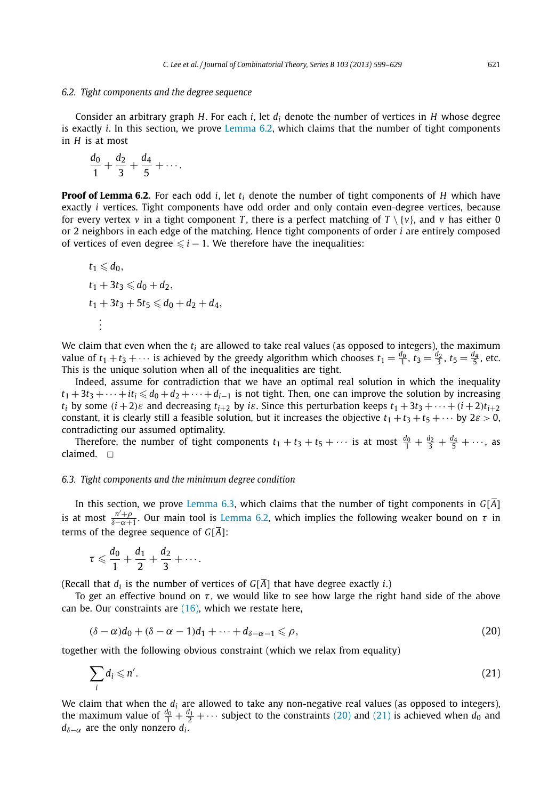#### <span id="page-22-0"></span>*6.2. Tight components and the degree sequence*

Consider an arbitrary graph *H*. For each *i*, let *di* denote the number of vertices in *H* whose degree is exactly *i*. In this section, we prove [Lemma 6.2,](#page-19-0) which claims that the number of tight components in *H* is at most

$$
\frac{d_0}{1} + \frac{d_2}{3} + \frac{d_4}{5} + \cdots
$$

**Proof of Lemma 6.2.** For each odd *i*, let *ti* denote the number of tight components of *H* which have exactly *i* vertices. Tight components have odd order and only contain even-degree vertices, because for every vertex *v* in a tight component *T*, there is a perfect matching of  $T \setminus \{v\}$ , and *v* has either 0 or 2 neighbors in each edge of the matching. Hence tight components of order *i* are entirely composed of vertices of even degree  $\leq i - 1$ . We therefore have the inequalities:

$$
t_1 \le d_0,\nt_1 + 3t_3 \le d_0 + d_2,\nt_1 + 3t_3 + 5t_5 \le d_0 + d_2 + d_4,\n\vdots
$$

We claim that even when the  $t_i$  are allowed to take real values (as opposed to integers), the maximum value of  $t_1 + t_3 + \cdots$  is achieved by the greedy algorithm which chooses  $t_1 = \frac{d_0}{1}$ ,  $t_3 = \frac{d_2}{3}$ ,  $t_5 = \frac{d_4}{5}$ , etc. This is the unique solution when all of the inequalities are tight.

Indeed, assume for contradiction that we have an optimal real solution in which the inequality  $t_1 + 3t_3 + \cdots + it_i \leq d_0 + d_2 + \cdots + d_{i-1}$  is not tight. Then, one can improve the solution by increasing *t<sub>i</sub>* by some  $(i+2)\varepsilon$  and decreasing  $t_{i+2}$  by *i* $\varepsilon$ . Since this perturbation keeps  $t_1 + 3t_3 + \cdots + (i+2)t_{i+2}$ constant, it is clearly still a feasible solution, but it increases the objective  $t_1 + t_3 + t_5 + \cdots$  by  $2\varepsilon > 0$ , contradicting our assumed optimality.

Therefore, the number of tight components  $t_1 + t_3 + t_5 + \cdots$  is at most  $\frac{d_0}{1} + \frac{d_2}{3} + \frac{d_4}{5} + \cdots$ , as claimed.  $\Box$ 

#### *6.3. Tight components and the minimum degree condition*

In this section, we prove [Lemma 6.3,](#page-20-0) which claims that the number of tight components in  $G[\overline{A}]$ is at most  $\frac{n'+\rho}{\delta-\alpha+1}$ . Our main tool is [Lemma 6.2,](#page-19-0) which implies the following weaker bound on  $\tau$  in terms of the degree sequence of  $G[\overline{A}]$ :

$$
\tau \leqslant \frac{d_0}{1} + \frac{d_1}{2} + \frac{d_2}{3} + \cdots.
$$

(Recall that  $d_i$  is the number of vertices of  $G[\overline{A}]$  that have degree exactly *i*.)

To get an effective bound on *τ* , we would like to see how large the right hand side of the above can be. Our constraints are  $(16)$ , which we restate here,

$$
(\delta - \alpha)d_0 + (\delta - \alpha - 1)d_1 + \dots + d_{\delta - \alpha - 1} \leq \rho,
$$
\n(20)

together with the following obvious constraint (which we relax from equality)

$$
\sum_{i} d_i \leqslant n'.\tag{21}
$$

We claim that when the  $d_i$  are allowed to take any non-negative real values (as opposed to integers), the maximum value of  $\frac{d_0}{1} + \frac{d_1}{2} + \cdots$  subject to the constraints (20) and (21) is achieved when  $d_0$  and  $d_{\delta-\alpha}$  are the only nonzero  $d_i$ .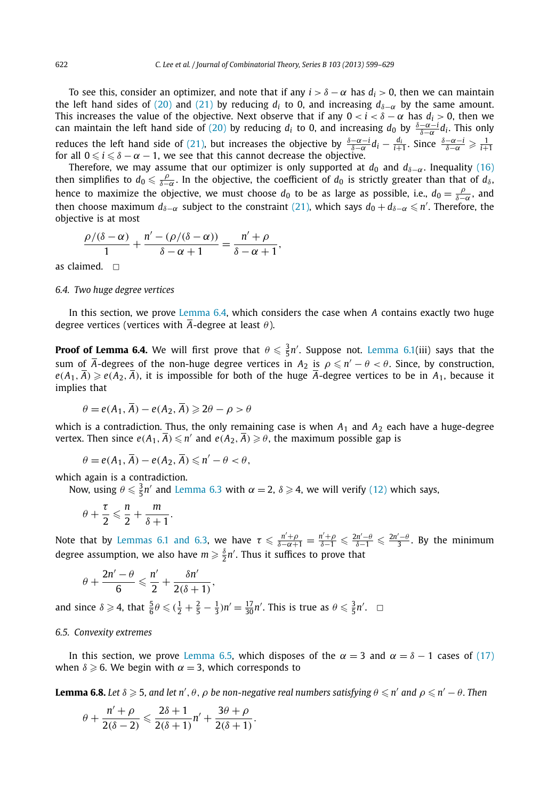To see this, consider an optimizer, and note that if any  $i > \delta - \alpha$  has  $d_i > 0$ , then we can maintain the left hand sides of [\(20\)](#page-22-0) and [\(21\)](#page-22-0) by reducing  $d_i$  to 0, and increasing  $d_{\delta-\alpha}$  by the same amount. This increases the value of the objective. Next observe that if any  $0 < i < \delta - \alpha$  has  $d_i > 0$ , then we can maintain the left hand side of [\(20\)](#page-22-0) by reducing *di* to 0, and increasing *<sup>d</sup>*<sup>0</sup> by *<sup>δ</sup>*−*α*−*<sup>i</sup> <sup>δ</sup>*−*<sup>α</sup> di* . This only reduces the left hand side of [\(21\),](#page-22-0) but increases the objective by  $\frac{\delta-\alpha-i}{\delta-\alpha}d_i-\frac{d_i}{i+1}$ . Since  $\frac{\delta-\alpha-i}{\delta-\alpha}\geq \frac{1}{i+1}$ for all  $0 \le i \le \delta - \alpha - 1$ , we see that this cannot decrease the objective.

Therefore, we may assume that our optimizer is only supported at  $d_0$  and  $d_{\delta-\alpha}$ . Inequality [\(16\)](#page-19-0) then simplifies to  $d_0 \leq \frac{\rho}{\delta-\alpha}$ . In the objective, the coefficient of  $d_0$  is strictly greater than that of  $d_\delta$ , hence to maximize the objective, we must choose  $d_0$  to be as large as possible, i.e.,  $d_0 = \frac{\rho}{\delta - \alpha}$ , and then choose maximum  $d_{\delta-\alpha}$  subject to the constraint [\(21\),](#page-22-0) which says  $d_0+d_{\delta-\alpha}\leqslant n'$ . Therefore, the objective is at most

$$
\frac{\rho/(\delta-\alpha)}{1}+\frac{n'-(\rho/(\delta-\alpha))}{\delta-\alpha+1}=\frac{n'+\rho}{\delta-\alpha+1},
$$

as claimed.  $\square$ 

*6.4. Two huge degree vertices*

In this section, we prove [Lemma 6.4,](#page-20-0) which considers the case when *A* contains exactly two huge degree vertices (vertices with *A*-degree at least *θ* ).

**Proof of Lemma 6.4.** We will first prove that  $\theta \leqslant \frac{3}{5}n'$ . Suppose not. [Lemma 6.1\(](#page-19-0)iii) says that the sum of  $\overline{A}$ -degrees of the non-huge degree vertices in  $A_2$  is  $\rho \leqslant n' - \theta < \theta$ . Since, by construction,  $e(A_1, A) \geqslant e(A_2, A)$ , it is impossible for both of the huge *A*-degree vertices to be in  $A_1$ , because it implies that

$$
\theta = e(A_1, \overline{A}) - e(A_2, \overline{A}) \geq 2\theta - \rho > \theta
$$

which is a contradiction. Thus, the only remaining case is when *A*<sup>1</sup> and *A*<sup>2</sup> each have a huge-degree vertex. Then since  $e(A_1, \overline{A}) \leqslant n'$  and  $e(A_2, \overline{A}) \geqslant \theta$ , the maximum possible gap is

$$
\theta = e(A_1, \overline{A}) - e(A_2, \overline{A}) \leqslant n' - \theta < \theta,
$$

which again is a contradiction.

Now, using  $\theta \leqslant \frac{3}{5}n'$  and [Lemma 6.3](#page-20-0) with  $\alpha = 2$ ,  $\delta \geqslant 4$ , we will verify [\(12\)](#page-18-0) which says,

$$
\theta+\frac{\tau}{2}\leqslant \frac{n}{2}+\frac{m}{\delta+1}.
$$

Note that by [Lemmas 6.1 and 6.3,](#page-19-0) we have  $\tau \le \frac{n'+\rho}{\delta-\alpha+1} = \frac{n'+\rho}{\delta-1} \le \frac{2n'-\theta}{\delta-1} \le \frac{2n'-\theta}{3}$ . By the minimum degree assumption, we also have  $m\geqslant \frac{\delta}{2}n'$ . Thus it suffices to prove that

$$
\theta+\frac{2n'-\theta}{6}\leqslant \frac{n'}{2}+\frac{\delta n'}{2(\delta+1)},
$$

and since  $\delta \geqslant 4$ , that  $\frac{5}{6}\theta \leqslant (\frac{1}{2} + \frac{2}{5} - \frac{1}{3})n' = \frac{17}{30}n'$ . This is true as  $\theta \leqslant \frac{3}{5}n'$ .  $\Box$ 

#### *6.5. Convexity extremes*

In this section, we prove [Lemma 6.5,](#page-20-0) which disposes of the  $\alpha = 3$  and  $\alpha = \delta - 1$  cases of [\(17\)](#page-20-0) when  $\delta \geqslant 6$ . We begin with  $\alpha = 3$ , which corresponds to

**Lemma 6.8.** Let  $\delta \geqslant 5$ , and let n',  $\theta$ ,  $\rho$  be non-negative real numbers satisfying  $\theta \leqslant n'$  and  $\rho \leqslant n' - \theta$ . Then

$$
\theta + \frac{n' + \rho}{2(\delta - 2)} \leqslant \frac{2\delta + 1}{2(\delta + 1)}n' + \frac{3\theta + \rho}{2(\delta + 1)}.
$$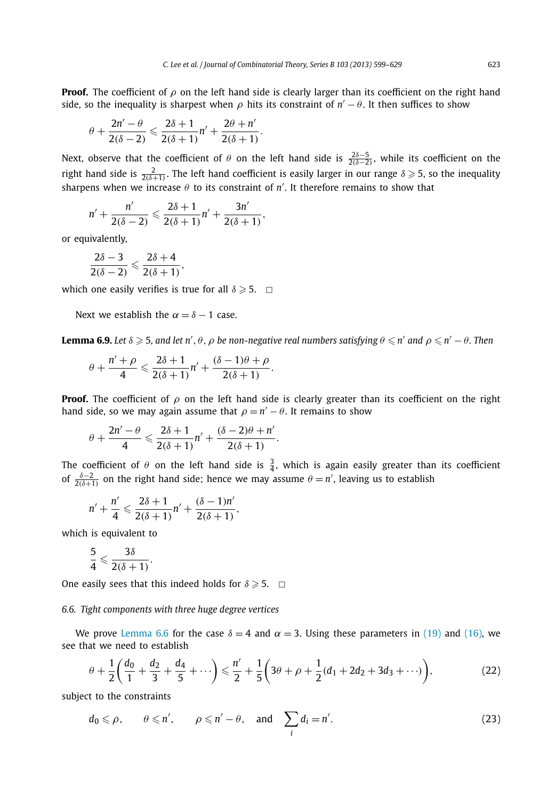<span id="page-24-0"></span>**Proof.** The coefficient of *ρ* on the left hand side is clearly larger than its coefficient on the right hand side, so the inequality is sharpest when  $\rho$  hits its constraint of  $n'-\theta$ . It then suffices to show

$$
\theta+\frac{2n'-\theta}{2(\delta-2)}\leqslant\frac{2\delta+1}{2(\delta+1)}n'+\frac{2\theta+n'}{2(\delta+1)}.
$$

Next, observe that the coefficient of  $\theta$  on the left hand side is  $\frac{2\delta-5}{2(\delta-2)}$ , while its coefficient on the right hand side is  $\frac{2}{2(\delta+1)}$ . The left hand coefficient is easily larger in our range  $\delta \geqslant 5$ , so the inequality sharpens when we increase *θ* to its constraint of *n* . It therefore remains to show that

$$
n' + \frac{n'}{2(\delta-2)} \leqslant \frac{2\delta+1}{2(\delta+1)}n' + \frac{3n'}{2(\delta+1)},
$$

or equivalently,

$$
\frac{2\delta-3}{2(\delta-2)}\leqslant\frac{2\delta+4}{2(\delta+1)},
$$

which one easily verifies is true for all  $\delta \geqslant 5$ .  $\Box$ 

Next we establish the  $\alpha = \delta - 1$  case.

**Lemma 6.9.** Let  $\delta \geqslant 5$ , and let n',  $\theta$ ,  $\rho$  be non-negative real numbers satisfying  $\theta \leqslant n'$  and  $\rho \leqslant n' - \theta$ . Then

$$
\theta + \frac{n' + \rho}{4} \leqslant \frac{2\delta + 1}{2(\delta + 1)}n' + \frac{(\delta - 1)\theta + \rho}{2(\delta + 1)}.
$$

**Proof.** The coefficient of  $\rho$  on the left hand side is clearly greater than its coefficient on the right hand side, so we may again assume that  $\rho = n' - \theta$ . It remains to show

$$
\theta+\frac{2n'-\theta}{4}\leqslant \frac{2\delta+1}{2(\delta+1)}n'+\frac{(\delta-2)\theta+n'}{2(\delta+1)}.
$$

The coefficient of  $\theta$  on the left hand side is  $\frac{3}{4}$ , which is again easily greater than its coefficient of  $\frac{\delta-2}{2(\delta+1)}$  on the right hand side; hence we may assume  $\theta = n'$ , leaving us to establish

$$
n' + \frac{n'}{4} \leq \frac{2\delta + 1}{2(\delta + 1)}n' + \frac{(\delta - 1)n'}{2(\delta + 1)},
$$

which is equivalent to

$$
\frac{5}{4} \leqslant \frac{3\delta}{2(\delta+1)}.
$$

One easily sees that this indeed holds for  $\delta \geqslant 5$ .  $\Box$ 

# *6.6. Tight components with three huge degree vertices*

We prove [Lemma 6.6](#page-20-0) for the case  $\delta = 4$  and  $\alpha = 3$ . Using these parameters in [\(19\)](#page-20-0) and [\(16\),](#page-19-0) we see that we need to establish

$$
\theta + \frac{1}{2} \left( \frac{d_0}{1} + \frac{d_2}{3} + \frac{d_4}{5} + \cdots \right) \leq \frac{n'}{2} + \frac{1}{5} \left( 3\theta + \rho + \frac{1}{2} (d_1 + 2d_2 + 3d_3 + \cdots) \right),\tag{22}
$$

subject to the constraints

$$
d_0 \le \rho, \qquad \theta \le n', \qquad \rho \le n' - \theta, \quad \text{and} \quad \sum_i d_i = n'.
$$
 (23)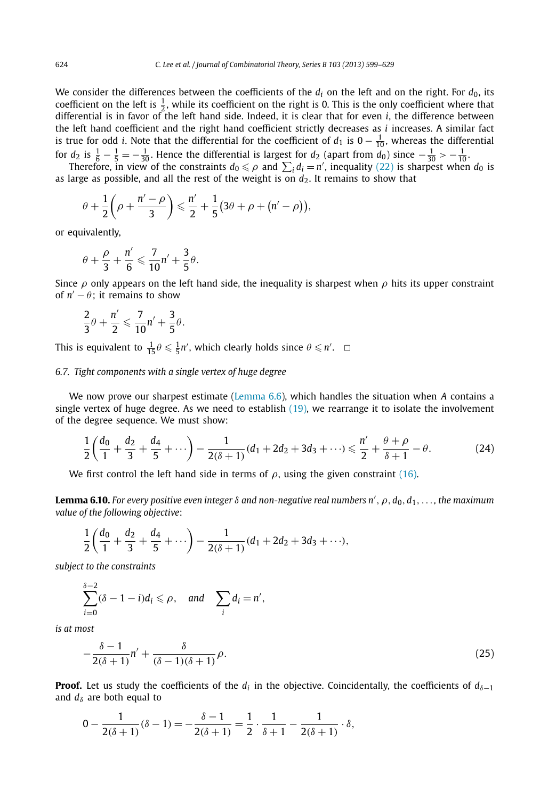<span id="page-25-0"></span>We consider the differences between the coefficients of the  $d_i$  on the left and on the right. For  $d_0$ , its coefficient on the left is  $\frac{1}{2}$ , while its coefficient on the right is 0. This is the only coefficient where that differential is in favor of the left hand side. Indeed, it is clear that for even *i*, the difference between the left hand coefficient and the right hand coefficient strictly decreases as *i* increases. A similar fact is true for odd *i*. Note that the differential for the coefficient of  $d_1$  is  $0 - \frac{1}{10}$ , whereas the differential for  $d_2$  is  $\frac{1}{6} - \frac{1}{5} = -\frac{1}{30}$ . Hence the differential is largest for  $d_2$  (apart from  $d_0$ ) since  $-\frac{1}{30} > -\frac{1}{10}$ .

Therefore, in view of the constraints  $d_0 \leq \rho$  and  $\sum_i d_i = n'$ , inequality [\(22\)](#page-24-0) is sharpest when  $d_0$  is as large as possible, and all the rest of the weight is on  $d_2$ . It remains to show that

$$
\theta + \frac{1}{2}\left(\rho + \frac{n'-\rho}{3}\right) \leqslant \frac{n'}{2} + \frac{1}{5}\left(3\theta + \rho + \left(n'-\rho\right)\right),\,
$$

or equivalently,

$$
\theta + \frac{\rho}{3} + \frac{n'}{6} \leqslant \frac{7}{10}n' + \frac{3}{5}\theta.
$$

Since *ρ* only appears on the left hand side, the inequality is sharpest when *ρ* hits its upper constraint of  $n' - \theta$ ; it remains to show

$$
\frac{2}{3}\theta + \frac{n'}{2} \leqslant \frac{7}{10}n' + \frac{3}{5}\theta.
$$

This is equivalent to  $\frac{1}{15}\theta \leqslant \frac{1}{5}n'$ , which clearly holds since  $\theta \leqslant n'$ .  $\Box$ 

# *6.7. Tight components with a single vertex of huge degree*

We now prove our sharpest estimate [\(Lemma 6.6\)](#page-20-0), which handles the situation when *A* contains a single vertex of huge degree. As we need to establish [\(19\),](#page-20-0) we rearrange it to isolate the involvement of the degree sequence. We must show:

$$
\frac{1}{2}\left(\frac{d_0}{1} + \frac{d_2}{3} + \frac{d_4}{5} + \cdots\right) - \frac{1}{2(\delta+1)}(d_1 + 2d_2 + 3d_3 + \cdots) \leq \frac{n'}{2} + \frac{\theta+\rho}{\delta+1} - \theta.
$$
 (24)

We first control the left hand side in terms of  $\rho$ , using the given constraint [\(16\).](#page-19-0)

**Lemma 6.10.** For every positive even integer  $δ$  and non-negative real numbers n' ,  $ρ$  ,  $d_0$  ,  $d_1$  ,  $\dots$  , the maximum *value of the following objective*:

$$
\frac{1}{2}\left(\frac{d_0}{1}+\frac{d_2}{3}+\frac{d_4}{5}+\cdots\right)-\frac{1}{2(\delta+1)}(d_1+2d_2+3d_3+\cdots),
$$

*subject to the constraints*

*δ*−2

$$
\sum_{i=0}^{a-2} (\delta - 1 - i) d_i \leq \rho, \quad \text{and} \quad \sum_i d_i = n',
$$

*is at most*

$$
-\frac{\delta-1}{2(\delta+1)}n' + \frac{\delta}{(\delta-1)(\delta+1)}\rho.
$$
\n(25)

**Proof.** Let us study the coefficients of the  $d_i$  in the objective. Coincidentally, the coefficients of  $d_{\delta-1}$ and  $d_{\delta}$  are both equal to

$$
0 - \frac{1}{2(\delta+1)}(\delta-1) = -\frac{\delta-1}{2(\delta+1)} = \frac{1}{2} \cdot \frac{1}{\delta+1} - \frac{1}{2(\delta+1)} \cdot \delta,
$$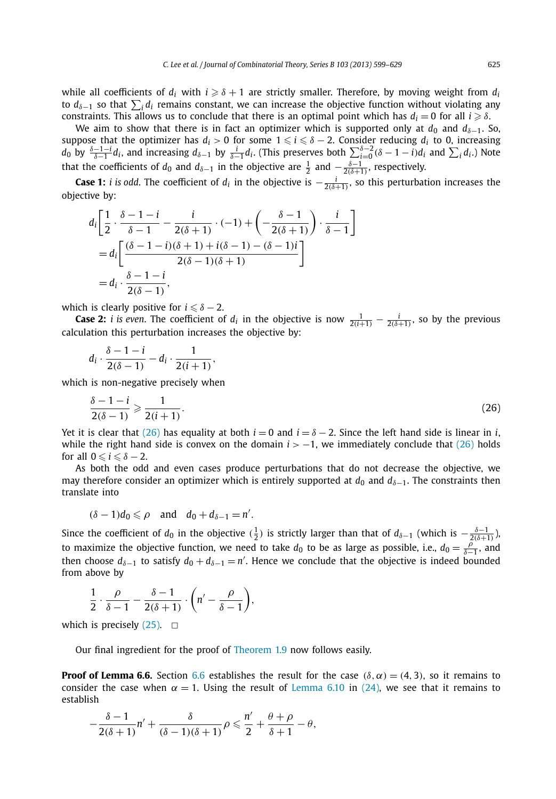while all coefficients of  $d_i$  with  $i \geqslant \delta + 1$  are strictly smaller. Therefore, by moving weight from  $d_i$ to d<sub>δ−1</sub> so that  $\sum_i d_i$  remains constant, we can increase the objective function without violating any  $\alpha$  constraints. This allows us to conclude that there is an optimal point which has  $d_i = 0$  for all  $i \geqslant \delta$ .

We aim to show that there is in fact an optimizer which is supported only at  $d_0$  and  $d_{\delta-1}$ . So, suppose that the optimizer has  $d_i > 0$  for some  $1 \leq i \leq \delta - 2$ . Consider reducing  $d_i$  to 0, increasing  $d_0$  by  $\frac{\delta-1-i}{\delta-1}d_i$ , and increasing  $d_{\delta-1}$  by  $\frac{i}{\delta-1}d_i$ . (This preserves both  $\sum_{i=0}^{\delta-2}(\delta-1-i)d_i$  and  $\sum_i d_i$ .) Note that the coefficients of  $d_0$  and  $d_{\delta-1}$  in the objective are  $\frac{1}{2}$  and  $-\frac{\delta-1}{2(\delta+1)}$ , respectively.

**Case 1:** *i* is odd. The coefficient of  $d_i$  in the objective is  $-\frac{i}{2(\delta+1)}$ , so this perturbation increases the objective by:

$$
d_i\left[\frac{1}{2}\cdot\frac{\delta-1-i}{\delta-1}-\frac{i}{2(\delta+1)}\cdot(-1)+\left(-\frac{\delta-1}{2(\delta+1)}\right)\cdot\frac{i}{\delta-1}\right]
$$
  
= 
$$
d_i\left[\frac{(\delta-1-i)(\delta+1)+i(\delta-1)-(\delta-1)i}{2(\delta-1)(\delta+1)}\right]
$$
  
= 
$$
d_i\cdot\frac{\delta-1-i}{2(\delta-1)},
$$

which is clearly positive for  $i \leq \delta - 2$ .

**Case 2:** *i* is even. The coefficient of  $d_i$  in the objective is now  $\frac{1}{2(i+1)} - \frac{i}{2(\delta+1)}$ , so by the previous calculation this perturbation increases the objective by:

$$
d_i\cdot\frac{\delta-1-i}{2(\delta-1)}-d_i\cdot\frac{1}{2(i+1)},
$$

which is non-negative precisely when

$$
\frac{\delta - 1 - i}{2(\delta - 1)} \geqslant \frac{1}{2(i + 1)}.\tag{26}
$$

Yet it is clear that (26) has equality at both  $i = 0$  and  $i = \delta - 2$ . Since the left hand side is linear in *i*, while the right hand side is convex on the domain  $i > -1$ , we immediately conclude that (26) holds for all  $0 \le i \le \delta - 2$ .

As both the odd and even cases produce perturbations that do not decrease the objective, we may therefore consider an optimizer which is entirely supported at  $d_0$  and  $d_{\delta-1}$ . The constraints then translate into

$$
(\delta - 1)d_0 \leqslant \rho \quad \text{and} \quad d_0 + d_{\delta - 1} = n'.
$$

Since the coefficient of  $d_0$  in the objective  $(\frac{1}{2})$  is strictly larger than that of  $d_{\delta-1}$  (which is  $-\frac{\delta-1}{2(\delta+1)}$ ), to maximize the objective function, we need to take  $d_0$  to be as large as possible, i.e.,  $d_0 = \frac{\rho}{\delta-1}$ , and then choose  $d_{\delta-1}$  to satisfy  $d_0 + d_{\delta-1} = n'$ . Hence we conclude that the objective is indeed bounded from above by

$$
\frac{1}{2} \cdot \frac{\rho}{\delta - 1} - \frac{\delta - 1}{2(\delta + 1)} \cdot \left(n' - \frac{\rho}{\delta - 1}\right),\,
$$

which is precisely  $(25)$ .  $\Box$ 

Our final ingredient for the proof of [Theorem 1.9](#page-3-0) now follows easily.

**Proof of Lemma [6.6](#page-24-0).** Section 6.6 establishes the result for the case  $(\delta, \alpha) = (4, 3)$ , so it remains to consider the case when  $\alpha = 1$ . Using the result of [Lemma 6.10](#page-25-0) in [\(24\),](#page-25-0) we see that it remains to establish

$$
-\frac{\delta-1}{2(\delta+1)}n'+\frac{\delta}{(\delta-1)(\delta+1)}\rho\leqslant \frac{n'}{2}+\frac{\theta+\rho}{\delta+1}-\theta,
$$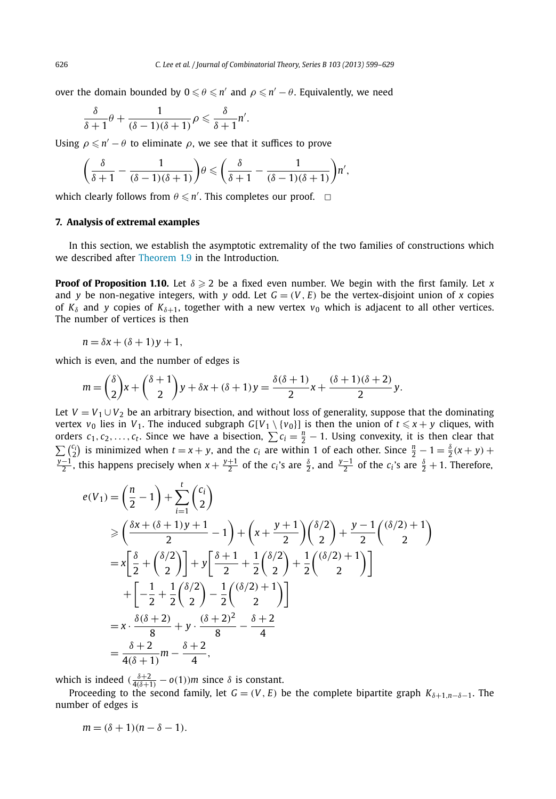over the domain bounded by  $0 \leqslant \theta \leqslant n'$  and  $\rho \leqslant n' - \theta.$  Equivalently, we need

$$
\frac{\delta}{\delta+1}\theta+\frac{1}{(\delta-1)(\delta+1)}\rho\leqslant\frac{\delta}{\delta+1}n'.
$$

Using  $\rho \leqslant n' - \theta$  to eliminate  $\rho$ , we see that it suffices to prove

$$
\left(\frac{\delta}{\delta+1}-\frac{1}{(\delta-1)(\delta+1)}\right)\theta\leqslant\left(\frac{\delta}{\delta+1}-\frac{1}{(\delta-1)(\delta+1)}\right)n',
$$

which clearly follows from  $\theta \leq n'$ . This completes our proof.  $\Box$ 

# **7. Analysis of extremal examples**

In this section, we establish the asymptotic extremality of the two families of constructions which we described after [Theorem 1.9](#page-3-0) in the Introduction.

**Proof of Proposition 1.10.** Let  $\delta \geqslant 2$  be a fixed even number. We begin with the first family. Let x and *y* be non-negative integers, with *y* odd. Let  $G = (V, E)$  be the vertex-disjoint union of *x* copies of  $K_{\delta}$  and *y* copies of  $K_{\delta+1}$ , together with a new vertex  $v_0$  which is adjacent to all other vertices. The number of vertices is then

 $n = \delta x + (\delta + 1)y + 1$ ,

which is even, and the number of edges is

$$
m = \binom{\delta}{2}x + \binom{\delta+1}{2}y + \delta x + (\delta+1)y = \frac{\delta(\delta+1)}{2}x + \frac{(\delta+1)(\delta+2)}{2}y.
$$

Let  $V = V_1 \cup V_2$  be an arbitrary bisection, and without loss of generality, suppose that the dominating vertex  $v_0$  lies in  $V_1$ . The induced subgraph  $G[V_1 \setminus \{v_0\}]$  is then the union of  $t \le x + y$  cliques, with orders  $c_1, c_2, \ldots, c_t$ . Since we have a bisection,  $\sum c_i = \frac{n}{2} - 1$ . Using convexity, it is then clear that  $\sum_{i=1}^{n} {c_i \choose 2}$  is minimized when  $t = x + y$ , and the  $c_i$  are within 1 of each other. Since  $\frac{n}{2} - 1 = \frac{\delta}{2}(x + y) +$ *y*<sup>−1</sup>, this happens precisely when  $x + \frac{y+1}{2}$  of the *c<sub>i</sub>*'s are  $\frac{\delta}{2}$ , and  $\frac{y-1}{2}$  of the *c<sub>i</sub>*'s are  $\frac{\delta}{2} + 1$ . Therefore,

$$
e(V_1) = \left(\frac{n}{2} - 1\right) + \sum_{i=1}^{t} {c_i \choose 2}
$$
  
\n
$$
\geq \left(\frac{\delta x + (\delta + 1)y + 1}{2} - 1\right) + \left(x + \frac{y + 1}{2}\right) {(\delta/2) \choose 2} + \frac{y - 1}{2} {(\delta/2) + 1 \choose 2}
$$
  
\n
$$
= x \left[\frac{\delta}{2} + {(\delta/2) \choose 2}\right] + y \left[\frac{\delta + 1}{2} + \frac{1}{2} {(\delta/2) + \frac{1}{2} {(\delta/2) + 1 \choose 2}}\right]
$$
  
\n
$$
+ \left[-\frac{1}{2} + \frac{1}{2} {(\delta/2) - \frac{1}{2} {(\delta/2) + 1 \choose 2}}\right]
$$
  
\n
$$
= x \cdot \frac{\delta(\delta + 2)}{8} + y \cdot \frac{(\delta + 2)^2}{8} - \frac{\delta + 2}{4}
$$
  
\n
$$
= \frac{\delta + 2}{4(\delta + 1)} m - \frac{\delta + 2}{4},
$$

which is indeed  $(\frac{\delta+2}{4(\delta+1)} - o(1))m$  since  $\delta$  is constant.

Proceeding to the second family, let  $G = (V, E)$  be the complete bipartite graph  $K_{\delta+1,n-\delta-1}$ . The number of edges is

 $m = (\delta + 1)(n - \delta - 1).$ 

<span id="page-27-0"></span>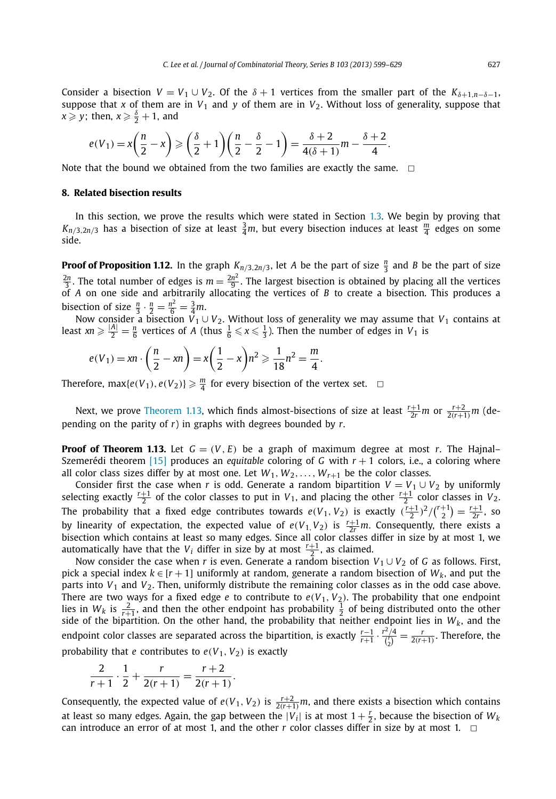<span id="page-28-0"></span>Consider a bisection  $V = V_1 \cup V_2$ . Of the  $\delta + 1$  vertices from the smaller part of the  $K_{\delta+1,n-\delta-1}$ , suppose that *x* of them are in  $V_1$  and *y* of them are in  $V_2$ . Without loss of generality, suppose that  $x \geqslant y$ ; then,  $x \geqslant \frac{\delta}{2} + 1$ , and

$$
e(V_1) = x\left(\frac{n}{2} - x\right) \geqslant \left(\frac{\delta}{2} + 1\right)\left(\frac{n}{2} - \frac{\delta}{2} - 1\right) = \frac{\delta + 2}{4(\delta + 1)}m - \frac{\delta + 2}{4}.
$$

Note that the bound we obtained from the two families are exactly the same.  $\Box$ 

## **8. Related bisection results**

In this section, we prove the results which were stated in Section [1.3.](#page-4-0) We begin by proving that  $K_{n/3,2n/3}$  has a bisection of size at least  $\frac{3}{4}m$ , but every bisection induces at least  $\frac{m}{4}$  edges on some side.

**Proof of Proposition 1.12.** In the graph  $K_{n/3,2n/3}$ , let *A* be the part of size  $\frac{n}{3}$  and *B* be the part of size  $\frac{2n}{3}$ . The total number of edges is  $m = \frac{2n^2}{9}$ . The largest bisection is obtained by placing all the vertices of *A* on one side and arbitrarily allocating the vertices of *B* to create a bisection. This produces bisection of size  $\frac{n}{3} \cdot \frac{n}{2} = \frac{n^2}{6} = \frac{3}{4}m$ .

Now consider a bisection *V*<sup>1</sup> ∪ *V*2. Without loss of generality we may assume that *V*<sup>1</sup> contains at least  $xn \ge \frac{|A|}{2} = \frac{n}{6}$  vertices of *A* (thus  $\frac{1}{6} \le x \le \frac{1}{3}$ ). Then the number of edges in *V*<sub>1</sub> is

$$
e(V_1) = xn \cdot \left(\frac{n}{2} - xn\right) = x\left(\frac{1}{2} - x\right)n^2 \geqslant \frac{1}{18}n^2 = \frac{m}{4}.
$$

Therefore,  $\max\{e(V_1), e(V_2)\} \geq \frac{m}{4}$  for every bisection of the vertex set.  $\Box$ 

Next, we prove [Theorem 1.13,](#page-5-0) which finds almost-bisections of size at least  $\frac{r+1}{2r}m$  or  $\frac{r+2}{2(r+1)}m$  (depending on the parity of *r*) in graphs with degrees bounded by *r*.

**Proof of Theorem 1.13.** Let  $G = (V, E)$  be a graph of maximum degree at most *r*. The Hajnal– Szemerédi theorem [\[15\]](#page-30-0) produces an *equitable* coloring of *G* with *r* + 1 colors, i.e., a coloring where all color class sizes differ by at most one. Let  $W_1, W_2, \ldots, W_{r+1}$  be the color classes.

Consider first the case when *r* is odd. Generate a random bipartition  $V = V_1 \cup V_2$  by uniformly selecting exactly  $\frac{r+1}{2}$  of the color classes to put in  $V_1$ , and placing the other  $\frac{r+1}{2}$  color classes in  $V_2$ . The probability that a fixed edge contributes towards  $e(V_1, V_2)$  is exactly  $(\frac{r+1}{2})^2/(\frac{r+1}{2}) = \frac{r+1}{2r}$ , so by linearity of expectation, the expected value of  $e(V_1, V_2)$  is  $\frac{r+1}{2r}m$ . Consequently, there exists a bisection which contains at least so many edges. Since all color classes differ in size by at most 1, we automatically have that the  $V_i$  differ in size by at most  $\frac{r+1}{2}$ , as claimed.

Now consider the case when *r* is even. Generate a random bisection  $V_1 \cup V_2$  of *G* as follows. First, pick a special index  $k \in [r + 1]$  uniformly at random, generate a random bisection of  $W_k$ , and put the parts into  $V_1$  and  $V_2$ . Then, uniformly distribute the remaining color classes as in the odd case above. There are two ways for a fixed edge *e* to contribute to  $e(V_1, V_2)$ . The probability that one endpoint lies in  $W_k$  is  $\frac{2}{r+1}$ , and then the other endpoint has probability  $\frac{1}{2}$  of being distributed onto the other side of the bipartition. On the other hand, the probability that neither endpoint lies in  $W_k$ , and the endpoint color classes are separated across the bipartition, is exactly  $\frac{r-1}{r+1} \cdot \frac{r^2/4}{\binom{r}{2}} = \frac{r}{2(r+1)}$ . Therefore, the probability that *e* contributes to  $e(V_1, V_2)$  is exactly

$$
\frac{2}{r+1} \cdot \frac{1}{2} + \frac{r}{2(r+1)} = \frac{r+2}{2(r+1)}.
$$

Consequently, the expected value of  $e(V_1, V_2)$  is  $\frac{r+2}{2(r+1)}m$ , and there exists a bisection which contains at least so many edges. Again, the gap between the  $|V_i|$  is at most  $1+\frac{r}{2}$ , because the bisection of  $W_k$ can introduce an error of at most 1, and the other  $r$  color classes differ in size by at most 1.  $\Box$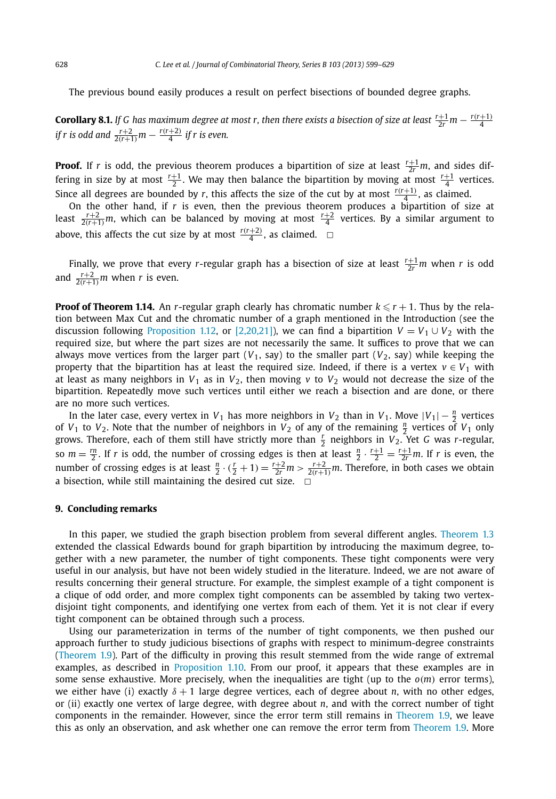The previous bound easily produces a result on perfect bisections of bounded degree graphs.

**Corollary 8.1.** If G has maximum degree at most r, then there exists a bisection of size at least  $\frac{r+1}{2r}m - \frac{r(r+1)}{4}$ <br>if r is odd and  $\frac{r+2}{2(r+1)}m - \frac{r(r+2)}{4}$  if r is even.

**Proof.** If *r* is odd, the previous theorem produces a bipartition of size at least  $\frac{r+1}{2r}m$ , and sides differing in size by at most  $\frac{r+1}{2}$ . We may then balance the bipartition by moving at most  $\frac{r+1}{4}$  vertices. Since all degrees are bounded by *r*, this affects the size of the cut by at most  $\frac{r(r+1)}{4}$ , as claimed.

On the other hand, if r is even, then the previous theorem produces a bipartition of size at least  $\frac{r+2}{2(r+1)}m$ , which can be balanced by moving at most  $\frac{r+2}{4}$  vertices. By a similar argument to above, this affects the cut size by at most  $\frac{r(r+2)}{4}$ , as claimed.  $\Box$ 

Finally, we prove that every *r*-regular graph has a bisection of size at least  $\frac{r+1}{2r}m$  when *r* is odd and  $\frac{r+2}{2(r+1)}m$  when *r* is even.

**Proof of Theorem 1.14.** An *r*-regular graph clearly has chromatic number  $k \le r + 1$ . Thus by the relation between Max Cut and the chromatic number of a graph mentioned in the Introduction (see the discussion following [Proposition 1.12,](#page-4-0) or [\[2,20,21\]\)](#page-30-0), we can find a bipartition  $V = V_1 \cup V_2$  with the required size, but where the part sizes are not necessarily the same. It suffices to prove that we can always move vertices from the larger part  $(V_1, say)$  to the smaller part  $(V_2, say)$  while keeping the property that the bipartition has at least the required size. Indeed, if there is a vertex  $v \in V_1$  with at least as many neighbors in  $V_1$  as in  $V_2$ , then moving  $v$  to  $V_2$  would not decrease the size of the bipartition. Repeatedly move such vertices until either we reach a bisection and are done, or there are no more such vertices.

In the later case, every vertex in *V*<sub>1</sub> has more neighbors in *V*<sub>2</sub> than in *V*<sub>1</sub>. Move  $|V_1| - \frac{n}{2}$  vertices of *V*<sub>1</sub> to *V*<sub>2</sub>. Note that the number of neighbors in *V*<sub>2</sub> of any of the remaining  $\frac{n}{2}$  vertices of *V*<sub>1</sub> only grows. Therefore, each of them still have strictly more than  $\frac{r}{2}$  neighbors in  $V_2$ . Yet *G* was *r*-regular, so  $m = \frac{rn}{2}$ . If *r* is odd, the number of crossing edges is then at least  $\frac{n}{2} \cdot \frac{r+1}{2} = \frac{r+1}{2r}m$ . If *r* is even, the number of crossing edges is at least  $\frac{n}{2} \cdot (\frac{r}{2} + 1) = \frac{r+2}{2r}m > \frac{r+2}{2(r+1)}m$ . Therefore, in both cases we obtain a bisection, while still maintaining the desired cut size.  $\Box$ 

# **9. Concluding remarks**

In this paper, we studied the graph bisection problem from several different angles. [Theorem 1.3](#page-2-0) extended the classical Edwards bound for graph bipartition by introducing the maximum degree, together with a new parameter, the number of tight components. These tight components were very useful in our analysis, but have not been widely studied in the literature. Indeed, we are not aware of results concerning their general structure. For example, the simplest example of a tight component is a clique of odd order, and more complex tight components can be assembled by taking two vertexdisjoint tight components, and identifying one vertex from each of them. Yet it is not clear if every tight component can be obtained through such a process.

Using our parameterization in terms of the number of tight components, we then pushed our approach further to study judicious bisections of graphs with respect to minimum-degree constraints [\(Theorem 1.9\)](#page-3-0). Part of the difficulty in proving this result stemmed from the wide range of extremal examples, as described in [Proposition 1.10.](#page-4-0) From our proof, it appears that these examples are in some sense exhaustive. More precisely, when the inequalities are tight (up to the *o(m)* error terms), we either have (i) exactly  $\delta + 1$  large degree vertices, each of degree about *n*, with no other edges, or (ii) exactly one vertex of large degree, with degree about *n*, and with the correct number of tight components in the remainder. However, since the error term still remains in [Theorem 1.9,](#page-3-0) we leave this as only an observation, and ask whether one can remove the error term from [Theorem 1.9.](#page-3-0) More